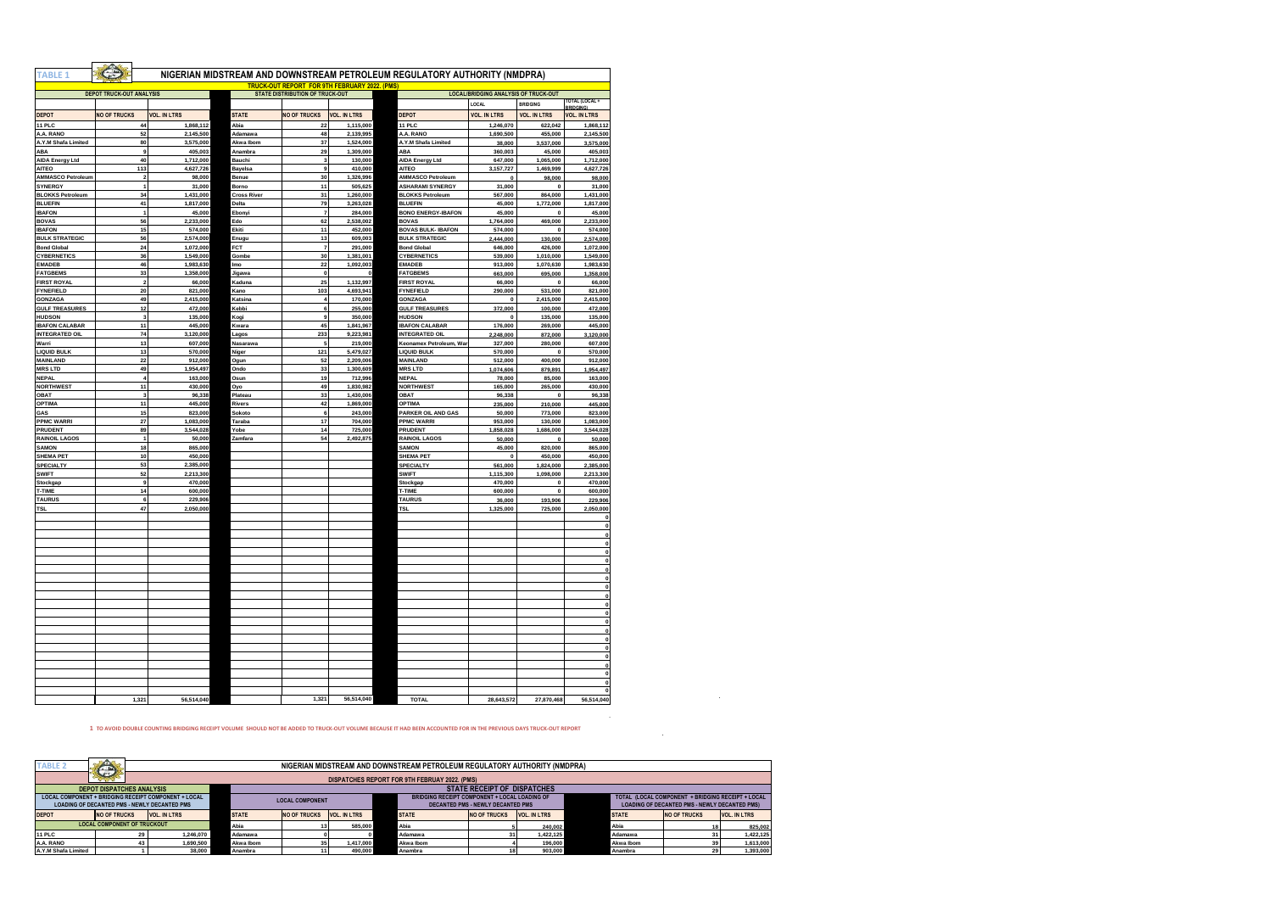| ABLE <sub>1</sub>          |                                 |                        |                    | <b>TRUCK-OUT REPORT FOR 9TH FEBRUARY 2022. (PMS)</b> |                        | NIGERIAN MIDSTREAM AND DOWNSTREAM PETROLEUM REGULATORY AUTHORITY (NMDPRA) |                                             |                     |                                |
|----------------------------|---------------------------------|------------------------|--------------------|------------------------------------------------------|------------------------|---------------------------------------------------------------------------|---------------------------------------------|---------------------|--------------------------------|
|                            | <b>DEPOT TRUCK-OUT ANALYSIS</b> |                        |                    | <b>STATE DISTRIBUTION OF TRUCK-OUT</b>               |                        |                                                                           | <b>LOCAL/BRIDGING ANALYSIS OF TRUCK-OUT</b> |                     |                                |
|                            |                                 |                        |                    |                                                      |                        |                                                                           | LOCAL                                       | <b>BRIDGING</b>     | <b>FOTAL (LOCAL +</b>          |
| <b>DEPOT</b>               | <b>NO OF TRUCKS</b>             | <b>VOL. IN LTRS</b>    | <b>STATE</b>       | <b>NO OF TRUCKS</b>                                  | <b>VOL. IN LTRS</b>    | <b>DEPOT</b>                                                              | <b>VOL. IN LTRS</b>                         | <b>VOL. IN LTRS</b> | RPINGIN<br><b>VOL. IN LTRS</b> |
|                            |                                 |                        |                    |                                                      |                        |                                                                           |                                             |                     |                                |
| <b>11 PLC</b><br>A.A. RANO | 44<br>52                        | 1.868.112<br>2,145,500 | Abi<br>Adamawa     | 22<br>48                                             | 1.115.000<br>2,139,995 | 11 PLC<br>A.A. RANO                                                       | 1,246,070<br>1,690,500                      | 622.042<br>455,000  | 1,868,112<br>2,145,500         |
| A.Y.M Shafa Limited        | 80                              | 3,575,000              | Akwa Ibom          | 37                                                   | 1,524,000              | A.Y.M Shafa Limited                                                       | 38,000                                      | 3,537,000           | 3,575,000                      |
| ABA                        | 9                               | 405,003                | Anambra            | 29                                                   | 1,309,000              | ABA                                                                       | 360,003                                     | 45,000              | 405.003                        |
| <b>AIDA Energy Ltd</b>     | 40                              | 1,712,000              | Bauchi             | $\overline{\mathbf{3}}$                              | 130,000                | <b>AIDA Energy Ltd</b>                                                    | 647,000                                     | 1,065,000           | 1,712,000                      |
| <b>AITEO</b>               | 113                             | 4,627,726              | <b>Bavelsa</b>     | 9                                                    | 410,000                | <b>AITEO</b>                                                              | 3,157,727                                   | 1,469,999           | 4,627,726                      |
| <b>AMMASCO Petroleum</b>   | $\overline{\mathbf{2}}$         | 98,000                 | Benue              | 30                                                   | 1,326,996              | <b>AMMASCO Petroleum</b>                                                  | $\Omega$                                    | 98,000              | 98,000                         |
| SYNERGY                    | $\overline{1}$                  | 31,000                 | Borno              | 11                                                   | 505.625                | <b>ASHARAMI SYNERGY</b>                                                   | 31,000                                      | $\mathbf 0$         | 31,000                         |
| <b>BLOKKS Petroleum</b>    | 34                              | 1,431,000              | <b>Cross River</b> | 31                                                   | 1.260,000              | <b>BLOKKS Petroleum</b>                                                   | 567,000                                     | 864,000             | 1,431,000                      |
| <b>BLUEFIN</b>             | 41                              | 1,817,000              | <b>Delta</b>       | 79                                                   | 3,263,028              | <b>BLUEFIN</b>                                                            | 45,000                                      | 1,772,000           | 1,817,000                      |
| <b>IBAFON</b>              | $\overline{1}$                  | 45,000                 | Ebonyi             | $\overline{7}$                                       | 284,000                | <b>BONO ENERGY-IBAFON</b>                                                 | 45,000                                      | $\Omega$            | 45,000                         |
| <b>BOVAS</b>               | 56                              | 2,233,000              | Edo                | 62                                                   | 2,538,002              | <b>BOVAS</b>                                                              | 1,764,000                                   | 469,000             | 2,233,000                      |
| <b>IBAFON</b>              | 15                              | 574,000                | Ekiti              | 11                                                   | 452,000                | <b>BOVAS BULK-IBAFON</b>                                                  | 574,000                                     | $\Omega$            | 574,000                        |
| <b>BULK STRATEGIC</b>      | 56                              | 2,574,000              | Enugu              | 13                                                   | 609,003                | <b>BULK STRATEGIC</b>                                                     | 2,444,000                                   | 130,000             | 2,574,000                      |
| <b>Bond Global</b>         | 24                              | 1.072.000              | <b>FCT</b>         | $\overline{7}$                                       | 291,000                | <b>Bond Global</b>                                                        | 646,000                                     | 426,000             | 1,072,000                      |
| <b>CYBERNETICS</b>         | 36                              | 1,549,000              | Gombe              | 30                                                   | 1,381,001              | <b>CYBERNETICS</b>                                                        | 539,000                                     | 1,010,000           | 1,549,000                      |
| <b>EMADEB</b>              | 46                              | 1,983,630              | Imo                | 22                                                   | 1,092,003              | <b>EMADEB</b>                                                             | 913,000                                     | 1,070,630           | 1,983,630                      |
| <b>FATGBEMS</b>            | 33                              | 1,358,000              | Jigawa             | $\mathbf{0}$                                         | $\Omega$               | <b>FATGBEMS</b>                                                           | 663,000                                     | 695,000             | 1,358,000                      |
| <b>FIRST ROYAL</b>         | $\boldsymbol{2}$                | 66,000                 | Kaduna             | 25                                                   | 1,132,997              | <b>FIRST ROYAL</b>                                                        | 66,000                                      | $\mathbf 0$         | 66,000                         |
| <b>FYNEFIELD</b>           | 20                              | 821,000                | Kano               | 103                                                  | 4,693,941              | <b>FYNEFIELD</b>                                                          | 290,000                                     | 531,000             | 821,000                        |
| <b>GONZAGA</b>             | 49                              | 2,415,000              | Katsina            | $\overline{4}$                                       | 170,000                | GONZAGA                                                                   | $\mathbf 0$                                 | 2,415,000           | 2,415,000                      |
| <b>GULF TREASURES</b>      | 12                              | 472,000                | Kebbi              | 6                                                    | 255,000                | <b>GULF TREASURES</b>                                                     | 372,000                                     | 100,000             | 472,000                        |
| <b>HUDSON</b>              | $\mathbf 3$                     | 135,000                | Kogi               | 9                                                    | 350,000                | <b>HUDSON</b>                                                             | $\mathbf 0$                                 | 135,000             | 135,000                        |
| <b>IBAFON CALABAR</b>      | 11                              | 445,000                | Kwara              | 45                                                   | 1,841,967              | <b>IBAFON CALABAR</b>                                                     | 176,000                                     | 269,000             | 445,000                        |
| <b>INTEGRATED OIL</b>      | 74                              | 3,120,000              | Lagos              | 233                                                  | 9,223,981              | <b>INTEGRATED OIL</b>                                                     | 2,248,000                                   | 872,000             | 3,120,000                      |
| Warri                      | 13                              | 607,000                | Nasarawa           | 5                                                    | 219,000                | Keonamex Petroleum, War                                                   | 327,000                                     | 280,000             | 607,000                        |
| <b>LIQUID BULK</b>         | 13                              | 570,000                | Niger              | 121                                                  | 5,479,027              | <b>LIQUID BULK</b>                                                        | 570,000                                     | $\mathbf{0}$        | 570,000                        |
| <b>MAINLAND</b>            | 22                              | 912,000                | Ogun               | 52                                                   | 2,209,006              | <b>MAINLAND</b>                                                           | 512,000                                     | 400,000             | 912,000                        |
| <b>MRS LTD</b>             | 49                              | 1,954,497              | Ondo               | 33                                                   | 1,300,609              | <b>MRSLTD</b>                                                             | 1,074,606                                   | 879,891             | 1,954,497                      |
| <b>NEPAL</b>               | $\overline{4}$                  | 163,000                | Osun               | 19                                                   | 712,996                | <b>NEPAL</b>                                                              | 78,000                                      | 85,000              | 163,000                        |
| <b>NORTHWEST</b>           | 11                              | 430,000                | Oyo                | 49                                                   | 1,830,982              | <b>NORTHWEST</b>                                                          | 165,000                                     | 265,000             | 430,000                        |
| <b>OBAT</b>                | 3                               | 96.338                 | Plateau            | 33                                                   | 1,430,006              | <b>OBAT</b>                                                               | 96,338                                      | $\Omega$            | 96.338                         |
| <b>OPTIMA</b>              | 11                              | 445,000                | <b>Rivers</b>      | 42                                                   | 1,869,000              | <b>OPTIMA</b>                                                             | 235,000                                     | 210,000             | 445,000                        |
| GAS                        | 15                              | 823,000                | Sokoto             | 6                                                    | 243,000                | PARKER OIL AND GAS                                                        | 50,000                                      | 773,000             | 823,000                        |
| <b>PPMC WARRI</b>          | 27                              | 1.083.000              | Taraba             | 17                                                   | 704,000                | <b>PPMC WARRI</b>                                                         | 953,000                                     | 130,000             | 1,083,000                      |
| <b>PRUDENT</b>             | 89                              | 3,544,028              | Yobe               | 14                                                   | 725,000                | PRUDENT                                                                   | 1,858,028                                   | 1,686,000           | 3,544,028                      |
| <b>RAINOIL LAGOS</b>       | $\overline{1}$                  | 50,000                 | Zamfara            | 54                                                   | 2,492,875              | <b>RAINOIL LAGOS</b>                                                      | 50,000                                      | $\Omega$            | 50,000                         |
| <b>SAMON</b>               | 18                              | 865,000                |                    |                                                      |                        | <b>SAMON</b>                                                              | 45,000                                      | 820,000             | 865,000                        |
| <b>SHEMA PET</b>           | 10 <sub>1</sub>                 | 450,000                |                    |                                                      |                        | <b>SHEMA PET</b>                                                          | $\Omega$                                    | 450,000             | 450,000                        |
| <b>SPECIALTY</b>           | 53                              | 2,385,000              |                    |                                                      |                        | SPECIALTY                                                                 | 561,000                                     | 1,824,000           | 2,385,000                      |
| <b>SWIFT</b>               | 52                              | 2,213,300              |                    |                                                      |                        | <b>SWIFT</b>                                                              | 1,115,300                                   | 1,098,000           | 2,213,300                      |
| Stockgap                   | $\mathbf{9}$                    | 470.000                |                    |                                                      |                        | Stockgap                                                                  | 470,000                                     | $\mathbf 0$         | 470,000                        |
| <b>T-TIME</b>              | 14                              | 600,000                |                    |                                                      |                        | T-TIME                                                                    | 600,000                                     | $\mathbf{0}$        | 600,000                        |
| <b>TAURUS</b>              | 6                               | 229,906                |                    |                                                      |                        | <b>TAURUS</b>                                                             | 36,000                                      | 193,906             | 229,906                        |
| <b>TSL</b>                 | 47                              | 2,050,000              |                    |                                                      |                        | TSL                                                                       | 1,325,000                                   | 725,000             | 2,050,000                      |
|                            |                                 |                        |                    |                                                      |                        |                                                                           |                                             |                     |                                |
|                            |                                 |                        |                    |                                                      |                        |                                                                           |                                             |                     |                                |
|                            |                                 |                        |                    |                                                      |                        |                                                                           |                                             |                     |                                |
|                            |                                 |                        |                    |                                                      |                        |                                                                           |                                             |                     |                                |
|                            |                                 |                        |                    |                                                      |                        |                                                                           |                                             |                     |                                |
|                            |                                 |                        |                    |                                                      |                        |                                                                           |                                             |                     |                                |
|                            |                                 |                        |                    |                                                      |                        |                                                                           |                                             |                     |                                |
|                            |                                 |                        |                    |                                                      |                        |                                                                           |                                             |                     |                                |
|                            |                                 |                        |                    |                                                      |                        |                                                                           |                                             |                     |                                |
|                            |                                 |                        |                    |                                                      |                        |                                                                           |                                             |                     |                                |
|                            |                                 |                        |                    |                                                      |                        |                                                                           |                                             |                     |                                |
|                            |                                 |                        |                    |                                                      |                        |                                                                           |                                             |                     |                                |
|                            |                                 |                        |                    |                                                      |                        |                                                                           |                                             |                     |                                |
|                            |                                 |                        |                    |                                                      |                        |                                                                           |                                             |                     |                                |
|                            |                                 |                        |                    |                                                      |                        |                                                                           |                                             |                     |                                |
|                            |                                 |                        |                    |                                                      |                        |                                                                           |                                             |                     |                                |
|                            |                                 |                        |                    |                                                      |                        |                                                                           |                                             |                     |                                |
|                            |                                 |                        |                    |                                                      |                        |                                                                           |                                             |                     |                                |
|                            |                                 |                        |                    |                                                      |                        |                                                                           |                                             |                     |                                |
|                            |                                 |                        |                    |                                                      |                        |                                                                           |                                             |                     |                                |
|                            | 1,321                           | 56,514,040             |                    | 1,321                                                | 56,514,040             | <b>TOTAL</b>                                                              | 28,643,572                                  | 27,870,468          | 56,514,040                     |
|                            |                                 |                        |                    |                                                      |                        |                                                                           |                                             |                     |                                |

**1 TO AVOID DOUBLE COUNTING BRIDGING RECEIPT VOLUME SHOULD NOT BE ADDED TO TRUCK-OUT VOLUME BECAUSE IT HAD BEEN ACCOUNTED FOR IN THE PREVIOUS DAYS TRUCK-OUT REPORT**

| <b>TABLE 2</b>                                                                                                                        | <b>ALL</b><br><b>C.NY</b>                                              | NIGERIAN MIDSTREAM AND DOWNSTREAM PETROLEUM REGULATORY AUTHORITY (NMDPRA) |              |                     |              |                                                                                                  |              |                     |                     |                                                                                                           |              |                     |              |
|---------------------------------------------------------------------------------------------------------------------------------------|------------------------------------------------------------------------|---------------------------------------------------------------------------|--------------|---------------------|--------------|--------------------------------------------------------------------------------------------------|--------------|---------------------|---------------------|-----------------------------------------------------------------------------------------------------------|--------------|---------------------|--------------|
|                                                                                                                                       | and a<br>DISPATCHES REPORT FOR 9TH FEBRUAY 2022. (PMS)                 |                                                                           |              |                     |              |                                                                                                  |              |                     |                     |                                                                                                           |              |                     |              |
|                                                                                                                                       | <b>STATE RECEIPT OF DISPATCHES</b><br><b>DEPOT DISPATCHES ANALYSIS</b> |                                                                           |              |                     |              |                                                                                                  |              |                     |                     |                                                                                                           |              |                     |              |
| LOCAL COMPONENT + BRIDGING RECEIPT COMPONENT + LOCAL<br><b>LOCAL COMPONENT</b><br><b>LOADING OF DECANTED PMS - NEWLY DECANTED PMS</b> |                                                                        |                                                                           |              |                     |              | <b>BRIDGING RECEIPT COMPONENT + LOCAL LOADING OF</b><br><b>DECANTED PMS - NEWLY DECANTED PMS</b> |              |                     |                     | TOTAL (LOCAL COMPONENT + BRIDGING RECEIPT + LOCAL<br><b>LOADING OF DECANTED PMS - NEWLY DECANTED PMS)</b> |              |                     |              |
| <b>DEPOT</b>                                                                                                                          | <b>NO OF TRUCKS</b>                                                    | <b>VOL. IN LTRS</b>                                                       | <b>STATE</b> | <b>NO OF TRUCKS</b> | VOL. IN LTRS |                                                                                                  | <b>STATE</b> | <b>NO OF TRUCKS</b> | <b>VOL. IN LTRS</b> |                                                                                                           | <b>STATE</b> | <b>NO OF TRUCKS</b> | VOL. IN LTRS |
| <b>LOCAL COMPONENT OF TRUCKOUT</b>                                                                                                    |                                                                        |                                                                           | Abia         |                     | 585,000      |                                                                                                  | Abia         |                     | 240,002             |                                                                                                           | Abia         |                     | 825.002      |
| <b>11 PLC</b>                                                                                                                         |                                                                        | 1.246.070                                                                 | Adamawa      |                     |              |                                                                                                  | Adamawa      |                     | 1.422.125           |                                                                                                           | Adamawa      |                     | 1.422.125    |
| A.A. RANO                                                                                                                             |                                                                        | 1.690.500                                                                 | Akwa Ibom    |                     | 1.417.000    |                                                                                                  | Akwa Ibom    |                     | 196,000             |                                                                                                           | Akwa Ibom    |                     | 1.613.000    |
| A.Y.M Shafa Limited                                                                                                                   |                                                                        | 38,000                                                                    | Anambra      |                     | 490,000      |                                                                                                  | Anambra      |                     | 903,000             |                                                                                                           | Anambra      |                     | 1.393.000    |

 $\mathcal{L}_{\text{max}}$  and  $\mathcal{L}_{\text{max}}$  and  $\mathcal{L}_{\text{max}}$ 

 $\sim$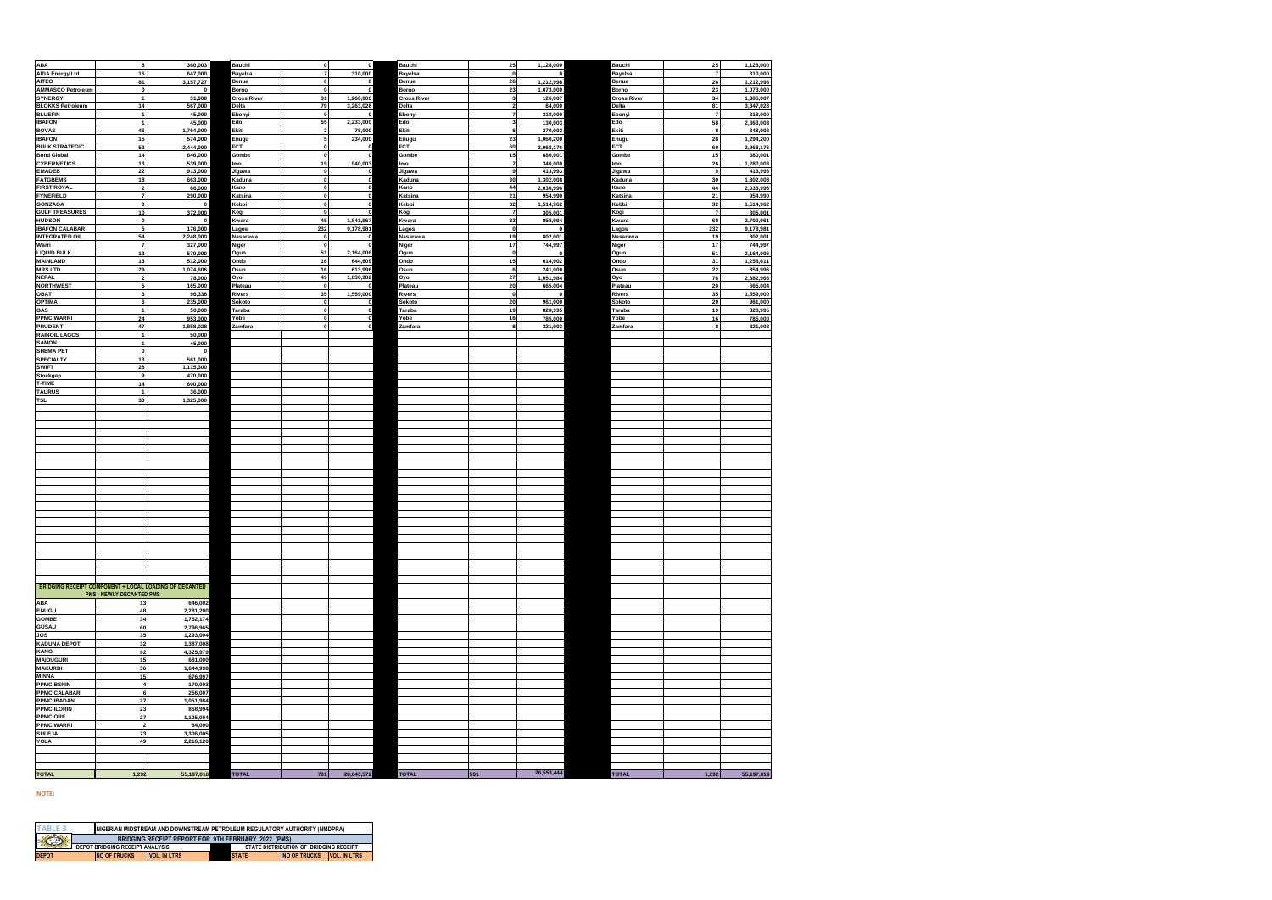| <b>AIDA Energy Ltd</b><br>16<br>647,000<br>Bayelsa<br>310,000<br><b>Bayelsa</b><br>$\mathbf{o}$<br>Bayelsa<br>$\boldsymbol{7}$<br>310,000<br>$\overline{7}$<br>AITEO<br>81<br>26<br>1,212,998<br>26<br>3,157,727<br>1,212,998<br>Benue<br>Benue<br>Benue<br>$\mathbf 0$<br>$\mathbf 0$<br><b>AMMASCO Petroleum</b><br>23<br>$\mathbf 0$<br>$\mathbf 0$<br>Borno<br>$\mathbf{0}$<br>$\mathbf{0}$<br>Borno<br>1,073,000<br>Borno<br>23<br>1,073,000<br><b>SYNERGY</b><br>31,000<br>1,260,000<br>$\mathbf{1}$<br><b>Cross River</b><br>31<br><b>Cross River</b><br>$\overline{\mathbf{3}}$<br>126,007<br><b>Cross River</b><br>34<br>1,386,007<br>14<br><b>BLOKKS Petroleum</b><br>79<br>3,263,028<br>$\overline{2}$<br>81<br>567,000<br>84,000<br>3,347,028<br>Delta<br>Delta<br>Delta<br><b>BLUEFIN</b><br>$\mathbf{1}$<br>45,000<br>$\mathbf{z}$<br>318,000<br>Ebonyi<br>$\pmb{7}$<br>318,000<br>Ebonyi<br>$\mathbf 0$<br>Ebonyi<br><b>IBAFON</b><br>$\mathbf{1}$<br>45,000<br>55<br>2,233,000<br>130,003<br>58<br>2,363,003<br>Edo<br>$\overline{\mathbf{3}}$<br>Edo<br>Edo<br>6 <sup>1</sup><br><b>BOVAS</b><br>46<br><b>Ekiti</b><br>78,000<br><b>Ekiti</b><br>Ekiti<br>1,764,000<br>$\overline{2}$<br>270,002<br>8<br>348,002<br>$15\,$<br><b>IBAFON</b><br>574,000<br>234,000<br>23<br>1,060,200<br>Enugu<br>28<br>1,294,200<br>Enugu<br>Enugu<br><b>BULK STRATEGIC</b><br>60<br><b>FCT</b><br>53<br>2,444,000<br>FCT<br>FCT<br>2,968,176<br>60<br>2,968,176<br><b>Bond Global</b><br>14<br>646,000<br>Gombe<br>Gombe<br>15<br>680,001<br>Gombe<br>15<br>680,001<br>$\mathbf{0}$<br>940,003<br><b>CYBERNETICS</b><br>13<br>19<br>$\overline{7}$<br>340,000<br>26<br>539,000<br>1,280,003<br>lmo<br>Imo<br>Imo<br>9<br><b>EMADEB</b><br>22<br>913,000<br>Jigawa<br>$\Omega$<br>Jigawa<br>413,993<br>Jigawa<br>9<br>413,993<br>$\Omega$<br><b>FATGBEMS</b><br>18<br>663,000<br>30<br>1,302,008<br>Kaduna<br>30<br>Kaduna<br>Kaduna<br>44<br><b>FIRST ROYAL</b><br>$\overline{2}$<br>66,000<br>Kano<br>$\Omega$<br>Kano<br>2,036,996<br>Kano<br>44<br>2,036,996<br><b>FYNEFIELD</b><br>$\overline{7}$<br>290,000<br>$\mathbf 0$<br>Katsina<br>${\bf 21}$<br>954,990<br>Katsina<br>${\bf 21}$<br>954,990<br>Katsina<br>$\mathbf{0}$<br>$\pmb{0}$<br>32<br>32<br><b>GONZAGA</b><br>1.514.962<br>Kebbi<br>$\mathbf 0$<br>Kebbi<br>Kebbi<br><b>GULF TREASURES</b><br>$\overline{z}$<br>10<br>372,000<br>Kogi<br>$\Omega$<br>Kogi<br>305,001<br>Kogi<br>$\overline{7}$<br>305,001<br><b>HUDSON</b><br>$\mathbf 0$<br>45<br>1,841,967<br>23<br>858,994<br>68<br>Kwara<br>Kwara<br>2,700,961<br>$\mathbf 0$<br>Kwara<br><b>IBAFON CALABAR</b><br>232<br>$\,$ 5 $\,$<br>9,178,981<br>$\mathbf{0}$<br>176,000<br>Lagos<br>Lagos<br>Lagos<br>232<br>9,178,981<br>$\mathbf 0$<br><b>INTEGRATED OIL</b><br>54<br>2,248,000<br>19<br>802,001<br>802,001<br>Nasarawa<br>Nasarawa<br>Nasarawa<br>19<br>$\overline{\mathbf{r}}$<br>17<br>$17$<br>Warri<br>744,997<br>744,997<br>327,000<br>Niger<br>$\Omega$<br>Niger<br>Niger<br><b>LIQUID BULK</b><br>13<br>570,000<br>51<br>2,164,006<br>$\circ$<br>51<br>2,164,006<br>Ogun<br>Ogun<br>$\mathbf 0$<br>Ogun<br><b>MAINLAND</b><br>13<br>644,609<br>15<br>614,002<br>31<br>512,000<br>16<br>Ondo<br>1,258,611<br>Ondo<br>Ondo<br>6<br><b>MRS LTD</b><br>16<br>613,996<br>$\bf 22$<br>29<br>1,074,606<br>Osun<br>Osun<br>241,000<br>Osun<br>854,996<br><b>NEPAL</b><br>$\mathbf 2$<br>78,000<br>49<br>1,830,982<br>${\bf 27}$<br>Oyo<br>1,051,984<br>Oyo<br>76<br>2,882,966<br>Oyo<br>5<br><b>NORTHWEST</b><br>20<br>665,004<br>20<br>165,000<br>Plateau<br>Plateau<br>Plateau<br>OBAT<br>3<br>96,338<br>Rivers<br>35<br>1,559,000<br>Rivers<br>$\circ$<br>Rivers<br>35<br><b>OPTIMA</b><br>6<br>235,000<br>20<br>961,000<br>${\bf 20}$<br>Sokoto<br>Sokoto<br>Sokoto<br>- 0<br>GAS<br>19<br>$\mathbf{1}$<br>50,000<br>Taraba<br>$\Omega$<br>$\Omega$<br>Taraba<br>828,995<br>Taraba<br>19<br>828,995<br><b>PPMC WARRI</b><br>$\bf 24$<br>16<br>953,000<br>Yobe<br>785,000<br>Yobe<br>${\bf 16}$<br>obe<br>$\overline{\mathbf{8}}$<br>PRUDENT<br>47<br>$\mathbf{a}$<br>1,858,028<br>Zamfara<br>Zamfara<br>321,003<br>Zamfara<br>321,003<br><b>RAINOIL LAGOS</b><br>$\mathbf{1}$<br>50,000<br><b>SAMON</b><br>$\mathbf{1}$<br>45,000<br><b>SHEMA PET</b><br>$\mathbf 0$<br>$\pmb{0}$<br>13<br>561,000<br><b>SPECIALTY</b><br><b>SWIFT</b><br>28<br>1,115,300<br>9<br>470,000<br>Stockgap<br>14<br>T-TIME<br>600,000<br><b>TAURUS</b><br>$\mathbf{1}$<br>36,000<br>30<br>1,325,000<br><b>TSL</b><br><b>BRIDGING RECEIPT COMPONENT + LOCAL LOADING OF DECANTED</b><br><b>PMS - NEWLY DECANTED PMS</b><br>ABA<br>13<br>646,002<br><b>ENUGU</b><br>48<br>2,281,200<br><b>GOMBE</b><br>34<br>1,752,174<br><b>GUSAU</b><br>60<br>2,796,965<br>JOS<br>35<br>1.293.004<br><b>KADUNA DEPOT</b><br>32<br>1,387,008<br>KANO<br>92<br>4,325,979<br><b>MAIDUGURI</b><br>15<br>681,000<br>36<br><b>MAKURDI</b><br>1,644,998<br><b>MINNA</b><br>15<br>676,997<br><b>PPMC BENIN</b><br>$\boldsymbol{4}$<br>170,003<br><b>PPMC CALABAR</b><br>$\bf 6$<br>256,007<br>$27\,$<br><b>PPMC IBADAN</b><br>1,051,984<br><b>PPMC ILORIN</b><br>23<br>858,994<br>PPMC ORE<br>27<br>1,125,004<br><b>PPMC WARRI</b><br>$\mathbf 2$<br>84,000<br><b>SULEJA</b><br>73<br>3,306,005<br>YOLA<br>49<br>2,216,120<br>26,553,444<br>28,643,572<br>701<br><b>TOTAL</b><br><b>TOTAL</b><br>1,292<br>55,197,016<br><b>TOTAL</b><br>1,292<br>55,197,016<br><b>TOTAL</b><br>591 | <b>ABA</b> | 8 | 360,003 | Bauchi | $\mathbf 0$ | Bauchi | 25 | 1,128,000 | Bauchi | 25 | 1,128,000 |
|--------------------------------------------------------------------------------------------------------------------------------------------------------------------------------------------------------------------------------------------------------------------------------------------------------------------------------------------------------------------------------------------------------------------------------------------------------------------------------------------------------------------------------------------------------------------------------------------------------------------------------------------------------------------------------------------------------------------------------------------------------------------------------------------------------------------------------------------------------------------------------------------------------------------------------------------------------------------------------------------------------------------------------------------------------------------------------------------------------------------------------------------------------------------------------------------------------------------------------------------------------------------------------------------------------------------------------------------------------------------------------------------------------------------------------------------------------------------------------------------------------------------------------------------------------------------------------------------------------------------------------------------------------------------------------------------------------------------------------------------------------------------------------------------------------------------------------------------------------------------------------------------------------------------------------------------------------------------------------------------------------------------------------------------------------------------------------------------------------------------------------------------------------------------------------------------------------------------------------------------------------------------------------------------------------------------------------------------------------------------------------------------------------------------------------------------------------------------------------------------------------------------------------------------------------------------------------------------------------------------------------------------------------------------------------------------------------------------------------------------------------------------------------------------------------------------------------------------------------------------------------------------------------------------------------------------------------------------------------------------------------------------------------------------------------------------------------------------------------------------------------------------------------------------------------------------------------------------------------------------------------------------------------------------------------------------------------------------------------------------------------------------------------------------------------------------------------------------------------------------------------------------------------------------------------------------------------------------------------------------------------------------------------------------------------------------------------------------------------------------------------------------------------------------------------------------------------------------------------------------------------------------------------------------------------------------------------------------------------------------------------------------------------------------------------------------------------------------------------------------------------------------------------------------------------------------------------------------------------------------------------------------------------------------------------------------------------------------------------------------------------------------------------------------------------------------------------------------------------------------------------------------------------------------------------------------------------------------------------------------------------------------------------------------------------------------------------------------------------------------------------------------------------------------------------------------------------------------------------------------------------------------------------------------------------------------------------------------------------------------------------------------------------------------------------------------------------------------------------------------------------------------------------------------------------------------------------------------------------------------------------------------------------------------------------------------------------------------------------------------------------------------------------------------------------------------------------------------------|------------|---|---------|--------|-------------|--------|----|-----------|--------|----|-----------|
|                                                                                                                                                                                                                                                                                                                                                                                                                                                                                                                                                                                                                                                                                                                                                                                                                                                                                                                                                                                                                                                                                                                                                                                                                                                                                                                                                                                                                                                                                                                                                                                                                                                                                                                                                                                                                                                                                                                                                                                                                                                                                                                                                                                                                                                                                                                                                                                                                                                                                                                                                                                                                                                                                                                                                                                                                                                                                                                                                                                                                                                                                                                                                                                                                                                                                                                                                                                                                                                                                                                                                                                                                                                                                                                                                                                                                                                                                                                                                                                                                                                                                                                                                                                                                                                                                                                                                                                                                                                                                                                                                                                                                                                                                                                                                                                                                                                                                                                                                                                                                                                                                                                                                                                                                                                                                                                                                                                                                                                                          |            |   |         |        |             |        |    |           |        |    |           |
|                                                                                                                                                                                                                                                                                                                                                                                                                                                                                                                                                                                                                                                                                                                                                                                                                                                                                                                                                                                                                                                                                                                                                                                                                                                                                                                                                                                                                                                                                                                                                                                                                                                                                                                                                                                                                                                                                                                                                                                                                                                                                                                                                                                                                                                                                                                                                                                                                                                                                                                                                                                                                                                                                                                                                                                                                                                                                                                                                                                                                                                                                                                                                                                                                                                                                                                                                                                                                                                                                                                                                                                                                                                                                                                                                                                                                                                                                                                                                                                                                                                                                                                                                                                                                                                                                                                                                                                                                                                                                                                                                                                                                                                                                                                                                                                                                                                                                                                                                                                                                                                                                                                                                                                                                                                                                                                                                                                                                                                                          |            |   |         |        |             |        |    |           |        |    |           |
|                                                                                                                                                                                                                                                                                                                                                                                                                                                                                                                                                                                                                                                                                                                                                                                                                                                                                                                                                                                                                                                                                                                                                                                                                                                                                                                                                                                                                                                                                                                                                                                                                                                                                                                                                                                                                                                                                                                                                                                                                                                                                                                                                                                                                                                                                                                                                                                                                                                                                                                                                                                                                                                                                                                                                                                                                                                                                                                                                                                                                                                                                                                                                                                                                                                                                                                                                                                                                                                                                                                                                                                                                                                                                                                                                                                                                                                                                                                                                                                                                                                                                                                                                                                                                                                                                                                                                                                                                                                                                                                                                                                                                                                                                                                                                                                                                                                                                                                                                                                                                                                                                                                                                                                                                                                                                                                                                                                                                                                                          |            |   |         |        |             |        |    |           |        |    |           |
|                                                                                                                                                                                                                                                                                                                                                                                                                                                                                                                                                                                                                                                                                                                                                                                                                                                                                                                                                                                                                                                                                                                                                                                                                                                                                                                                                                                                                                                                                                                                                                                                                                                                                                                                                                                                                                                                                                                                                                                                                                                                                                                                                                                                                                                                                                                                                                                                                                                                                                                                                                                                                                                                                                                                                                                                                                                                                                                                                                                                                                                                                                                                                                                                                                                                                                                                                                                                                                                                                                                                                                                                                                                                                                                                                                                                                                                                                                                                                                                                                                                                                                                                                                                                                                                                                                                                                                                                                                                                                                                                                                                                                                                                                                                                                                                                                                                                                                                                                                                                                                                                                                                                                                                                                                                                                                                                                                                                                                                                          |            |   |         |        |             |        |    |           |        |    |           |
|                                                                                                                                                                                                                                                                                                                                                                                                                                                                                                                                                                                                                                                                                                                                                                                                                                                                                                                                                                                                                                                                                                                                                                                                                                                                                                                                                                                                                                                                                                                                                                                                                                                                                                                                                                                                                                                                                                                                                                                                                                                                                                                                                                                                                                                                                                                                                                                                                                                                                                                                                                                                                                                                                                                                                                                                                                                                                                                                                                                                                                                                                                                                                                                                                                                                                                                                                                                                                                                                                                                                                                                                                                                                                                                                                                                                                                                                                                                                                                                                                                                                                                                                                                                                                                                                                                                                                                                                                                                                                                                                                                                                                                                                                                                                                                                                                                                                                                                                                                                                                                                                                                                                                                                                                                                                                                                                                                                                                                                                          |            |   |         |        |             |        |    |           |        |    |           |
|                                                                                                                                                                                                                                                                                                                                                                                                                                                                                                                                                                                                                                                                                                                                                                                                                                                                                                                                                                                                                                                                                                                                                                                                                                                                                                                                                                                                                                                                                                                                                                                                                                                                                                                                                                                                                                                                                                                                                                                                                                                                                                                                                                                                                                                                                                                                                                                                                                                                                                                                                                                                                                                                                                                                                                                                                                                                                                                                                                                                                                                                                                                                                                                                                                                                                                                                                                                                                                                                                                                                                                                                                                                                                                                                                                                                                                                                                                                                                                                                                                                                                                                                                                                                                                                                                                                                                                                                                                                                                                                                                                                                                                                                                                                                                                                                                                                                                                                                                                                                                                                                                                                                                                                                                                                                                                                                                                                                                                                                          |            |   |         |        |             |        |    |           |        |    |           |
|                                                                                                                                                                                                                                                                                                                                                                                                                                                                                                                                                                                                                                                                                                                                                                                                                                                                                                                                                                                                                                                                                                                                                                                                                                                                                                                                                                                                                                                                                                                                                                                                                                                                                                                                                                                                                                                                                                                                                                                                                                                                                                                                                                                                                                                                                                                                                                                                                                                                                                                                                                                                                                                                                                                                                                                                                                                                                                                                                                                                                                                                                                                                                                                                                                                                                                                                                                                                                                                                                                                                                                                                                                                                                                                                                                                                                                                                                                                                                                                                                                                                                                                                                                                                                                                                                                                                                                                                                                                                                                                                                                                                                                                                                                                                                                                                                                                                                                                                                                                                                                                                                                                                                                                                                                                                                                                                                                                                                                                                          |            |   |         |        |             |        |    |           |        |    |           |
|                                                                                                                                                                                                                                                                                                                                                                                                                                                                                                                                                                                                                                                                                                                                                                                                                                                                                                                                                                                                                                                                                                                                                                                                                                                                                                                                                                                                                                                                                                                                                                                                                                                                                                                                                                                                                                                                                                                                                                                                                                                                                                                                                                                                                                                                                                                                                                                                                                                                                                                                                                                                                                                                                                                                                                                                                                                                                                                                                                                                                                                                                                                                                                                                                                                                                                                                                                                                                                                                                                                                                                                                                                                                                                                                                                                                                                                                                                                                                                                                                                                                                                                                                                                                                                                                                                                                                                                                                                                                                                                                                                                                                                                                                                                                                                                                                                                                                                                                                                                                                                                                                                                                                                                                                                                                                                                                                                                                                                                                          |            |   |         |        |             |        |    |           |        |    |           |
|                                                                                                                                                                                                                                                                                                                                                                                                                                                                                                                                                                                                                                                                                                                                                                                                                                                                                                                                                                                                                                                                                                                                                                                                                                                                                                                                                                                                                                                                                                                                                                                                                                                                                                                                                                                                                                                                                                                                                                                                                                                                                                                                                                                                                                                                                                                                                                                                                                                                                                                                                                                                                                                                                                                                                                                                                                                                                                                                                                                                                                                                                                                                                                                                                                                                                                                                                                                                                                                                                                                                                                                                                                                                                                                                                                                                                                                                                                                                                                                                                                                                                                                                                                                                                                                                                                                                                                                                                                                                                                                                                                                                                                                                                                                                                                                                                                                                                                                                                                                                                                                                                                                                                                                                                                                                                                                                                                                                                                                                          |            |   |         |        |             |        |    |           |        |    |           |
|                                                                                                                                                                                                                                                                                                                                                                                                                                                                                                                                                                                                                                                                                                                                                                                                                                                                                                                                                                                                                                                                                                                                                                                                                                                                                                                                                                                                                                                                                                                                                                                                                                                                                                                                                                                                                                                                                                                                                                                                                                                                                                                                                                                                                                                                                                                                                                                                                                                                                                                                                                                                                                                                                                                                                                                                                                                                                                                                                                                                                                                                                                                                                                                                                                                                                                                                                                                                                                                                                                                                                                                                                                                                                                                                                                                                                                                                                                                                                                                                                                                                                                                                                                                                                                                                                                                                                                                                                                                                                                                                                                                                                                                                                                                                                                                                                                                                                                                                                                                                                                                                                                                                                                                                                                                                                                                                                                                                                                                                          |            |   |         |        |             |        |    |           |        |    |           |
|                                                                                                                                                                                                                                                                                                                                                                                                                                                                                                                                                                                                                                                                                                                                                                                                                                                                                                                                                                                                                                                                                                                                                                                                                                                                                                                                                                                                                                                                                                                                                                                                                                                                                                                                                                                                                                                                                                                                                                                                                                                                                                                                                                                                                                                                                                                                                                                                                                                                                                                                                                                                                                                                                                                                                                                                                                                                                                                                                                                                                                                                                                                                                                                                                                                                                                                                                                                                                                                                                                                                                                                                                                                                                                                                                                                                                                                                                                                                                                                                                                                                                                                                                                                                                                                                                                                                                                                                                                                                                                                                                                                                                                                                                                                                                                                                                                                                                                                                                                                                                                                                                                                                                                                                                                                                                                                                                                                                                                                                          |            |   |         |        |             |        |    |           |        |    |           |
|                                                                                                                                                                                                                                                                                                                                                                                                                                                                                                                                                                                                                                                                                                                                                                                                                                                                                                                                                                                                                                                                                                                                                                                                                                                                                                                                                                                                                                                                                                                                                                                                                                                                                                                                                                                                                                                                                                                                                                                                                                                                                                                                                                                                                                                                                                                                                                                                                                                                                                                                                                                                                                                                                                                                                                                                                                                                                                                                                                                                                                                                                                                                                                                                                                                                                                                                                                                                                                                                                                                                                                                                                                                                                                                                                                                                                                                                                                                                                                                                                                                                                                                                                                                                                                                                                                                                                                                                                                                                                                                                                                                                                                                                                                                                                                                                                                                                                                                                                                                                                                                                                                                                                                                                                                                                                                                                                                                                                                                                          |            |   |         |        |             |        |    |           |        |    |           |
|                                                                                                                                                                                                                                                                                                                                                                                                                                                                                                                                                                                                                                                                                                                                                                                                                                                                                                                                                                                                                                                                                                                                                                                                                                                                                                                                                                                                                                                                                                                                                                                                                                                                                                                                                                                                                                                                                                                                                                                                                                                                                                                                                                                                                                                                                                                                                                                                                                                                                                                                                                                                                                                                                                                                                                                                                                                                                                                                                                                                                                                                                                                                                                                                                                                                                                                                                                                                                                                                                                                                                                                                                                                                                                                                                                                                                                                                                                                                                                                                                                                                                                                                                                                                                                                                                                                                                                                                                                                                                                                                                                                                                                                                                                                                                                                                                                                                                                                                                                                                                                                                                                                                                                                                                                                                                                                                                                                                                                                                          |            |   |         |        |             |        |    |           |        |    |           |
|                                                                                                                                                                                                                                                                                                                                                                                                                                                                                                                                                                                                                                                                                                                                                                                                                                                                                                                                                                                                                                                                                                                                                                                                                                                                                                                                                                                                                                                                                                                                                                                                                                                                                                                                                                                                                                                                                                                                                                                                                                                                                                                                                                                                                                                                                                                                                                                                                                                                                                                                                                                                                                                                                                                                                                                                                                                                                                                                                                                                                                                                                                                                                                                                                                                                                                                                                                                                                                                                                                                                                                                                                                                                                                                                                                                                                                                                                                                                                                                                                                                                                                                                                                                                                                                                                                                                                                                                                                                                                                                                                                                                                                                                                                                                                                                                                                                                                                                                                                                                                                                                                                                                                                                                                                                                                                                                                                                                                                                                          |            |   |         |        |             |        |    |           |        |    |           |
|                                                                                                                                                                                                                                                                                                                                                                                                                                                                                                                                                                                                                                                                                                                                                                                                                                                                                                                                                                                                                                                                                                                                                                                                                                                                                                                                                                                                                                                                                                                                                                                                                                                                                                                                                                                                                                                                                                                                                                                                                                                                                                                                                                                                                                                                                                                                                                                                                                                                                                                                                                                                                                                                                                                                                                                                                                                                                                                                                                                                                                                                                                                                                                                                                                                                                                                                                                                                                                                                                                                                                                                                                                                                                                                                                                                                                                                                                                                                                                                                                                                                                                                                                                                                                                                                                                                                                                                                                                                                                                                                                                                                                                                                                                                                                                                                                                                                                                                                                                                                                                                                                                                                                                                                                                                                                                                                                                                                                                                                          |            |   |         |        |             |        |    |           |        |    | 1,302,008 |
|                                                                                                                                                                                                                                                                                                                                                                                                                                                                                                                                                                                                                                                                                                                                                                                                                                                                                                                                                                                                                                                                                                                                                                                                                                                                                                                                                                                                                                                                                                                                                                                                                                                                                                                                                                                                                                                                                                                                                                                                                                                                                                                                                                                                                                                                                                                                                                                                                                                                                                                                                                                                                                                                                                                                                                                                                                                                                                                                                                                                                                                                                                                                                                                                                                                                                                                                                                                                                                                                                                                                                                                                                                                                                                                                                                                                                                                                                                                                                                                                                                                                                                                                                                                                                                                                                                                                                                                                                                                                                                                                                                                                                                                                                                                                                                                                                                                                                                                                                                                                                                                                                                                                                                                                                                                                                                                                                                                                                                                                          |            |   |         |        |             |        |    |           |        |    |           |
|                                                                                                                                                                                                                                                                                                                                                                                                                                                                                                                                                                                                                                                                                                                                                                                                                                                                                                                                                                                                                                                                                                                                                                                                                                                                                                                                                                                                                                                                                                                                                                                                                                                                                                                                                                                                                                                                                                                                                                                                                                                                                                                                                                                                                                                                                                                                                                                                                                                                                                                                                                                                                                                                                                                                                                                                                                                                                                                                                                                                                                                                                                                                                                                                                                                                                                                                                                                                                                                                                                                                                                                                                                                                                                                                                                                                                                                                                                                                                                                                                                                                                                                                                                                                                                                                                                                                                                                                                                                                                                                                                                                                                                                                                                                                                                                                                                                                                                                                                                                                                                                                                                                                                                                                                                                                                                                                                                                                                                                                          |            |   |         |        |             |        |    |           |        |    |           |
|                                                                                                                                                                                                                                                                                                                                                                                                                                                                                                                                                                                                                                                                                                                                                                                                                                                                                                                                                                                                                                                                                                                                                                                                                                                                                                                                                                                                                                                                                                                                                                                                                                                                                                                                                                                                                                                                                                                                                                                                                                                                                                                                                                                                                                                                                                                                                                                                                                                                                                                                                                                                                                                                                                                                                                                                                                                                                                                                                                                                                                                                                                                                                                                                                                                                                                                                                                                                                                                                                                                                                                                                                                                                                                                                                                                                                                                                                                                                                                                                                                                                                                                                                                                                                                                                                                                                                                                                                                                                                                                                                                                                                                                                                                                                                                                                                                                                                                                                                                                                                                                                                                                                                                                                                                                                                                                                                                                                                                                                          |            |   |         |        |             |        |    |           |        |    | 1.514.962 |
|                                                                                                                                                                                                                                                                                                                                                                                                                                                                                                                                                                                                                                                                                                                                                                                                                                                                                                                                                                                                                                                                                                                                                                                                                                                                                                                                                                                                                                                                                                                                                                                                                                                                                                                                                                                                                                                                                                                                                                                                                                                                                                                                                                                                                                                                                                                                                                                                                                                                                                                                                                                                                                                                                                                                                                                                                                                                                                                                                                                                                                                                                                                                                                                                                                                                                                                                                                                                                                                                                                                                                                                                                                                                                                                                                                                                                                                                                                                                                                                                                                                                                                                                                                                                                                                                                                                                                                                                                                                                                                                                                                                                                                                                                                                                                                                                                                                                                                                                                                                                                                                                                                                                                                                                                                                                                                                                                                                                                                                                          |            |   |         |        |             |        |    |           |        |    |           |
|                                                                                                                                                                                                                                                                                                                                                                                                                                                                                                                                                                                                                                                                                                                                                                                                                                                                                                                                                                                                                                                                                                                                                                                                                                                                                                                                                                                                                                                                                                                                                                                                                                                                                                                                                                                                                                                                                                                                                                                                                                                                                                                                                                                                                                                                                                                                                                                                                                                                                                                                                                                                                                                                                                                                                                                                                                                                                                                                                                                                                                                                                                                                                                                                                                                                                                                                                                                                                                                                                                                                                                                                                                                                                                                                                                                                                                                                                                                                                                                                                                                                                                                                                                                                                                                                                                                                                                                                                                                                                                                                                                                                                                                                                                                                                                                                                                                                                                                                                                                                                                                                                                                                                                                                                                                                                                                                                                                                                                                                          |            |   |         |        |             |        |    |           |        |    |           |
|                                                                                                                                                                                                                                                                                                                                                                                                                                                                                                                                                                                                                                                                                                                                                                                                                                                                                                                                                                                                                                                                                                                                                                                                                                                                                                                                                                                                                                                                                                                                                                                                                                                                                                                                                                                                                                                                                                                                                                                                                                                                                                                                                                                                                                                                                                                                                                                                                                                                                                                                                                                                                                                                                                                                                                                                                                                                                                                                                                                                                                                                                                                                                                                                                                                                                                                                                                                                                                                                                                                                                                                                                                                                                                                                                                                                                                                                                                                                                                                                                                                                                                                                                                                                                                                                                                                                                                                                                                                                                                                                                                                                                                                                                                                                                                                                                                                                                                                                                                                                                                                                                                                                                                                                                                                                                                                                                                                                                                                                          |            |   |         |        |             |        |    |           |        |    |           |
|                                                                                                                                                                                                                                                                                                                                                                                                                                                                                                                                                                                                                                                                                                                                                                                                                                                                                                                                                                                                                                                                                                                                                                                                                                                                                                                                                                                                                                                                                                                                                                                                                                                                                                                                                                                                                                                                                                                                                                                                                                                                                                                                                                                                                                                                                                                                                                                                                                                                                                                                                                                                                                                                                                                                                                                                                                                                                                                                                                                                                                                                                                                                                                                                                                                                                                                                                                                                                                                                                                                                                                                                                                                                                                                                                                                                                                                                                                                                                                                                                                                                                                                                                                                                                                                                                                                                                                                                                                                                                                                                                                                                                                                                                                                                                                                                                                                                                                                                                                                                                                                                                                                                                                                                                                                                                                                                                                                                                                                                          |            |   |         |        |             |        |    |           |        |    |           |
|                                                                                                                                                                                                                                                                                                                                                                                                                                                                                                                                                                                                                                                                                                                                                                                                                                                                                                                                                                                                                                                                                                                                                                                                                                                                                                                                                                                                                                                                                                                                                                                                                                                                                                                                                                                                                                                                                                                                                                                                                                                                                                                                                                                                                                                                                                                                                                                                                                                                                                                                                                                                                                                                                                                                                                                                                                                                                                                                                                                                                                                                                                                                                                                                                                                                                                                                                                                                                                                                                                                                                                                                                                                                                                                                                                                                                                                                                                                                                                                                                                                                                                                                                                                                                                                                                                                                                                                                                                                                                                                                                                                                                                                                                                                                                                                                                                                                                                                                                                                                                                                                                                                                                                                                                                                                                                                                                                                                                                                                          |            |   |         |        |             |        |    |           |        |    |           |
|                                                                                                                                                                                                                                                                                                                                                                                                                                                                                                                                                                                                                                                                                                                                                                                                                                                                                                                                                                                                                                                                                                                                                                                                                                                                                                                                                                                                                                                                                                                                                                                                                                                                                                                                                                                                                                                                                                                                                                                                                                                                                                                                                                                                                                                                                                                                                                                                                                                                                                                                                                                                                                                                                                                                                                                                                                                                                                                                                                                                                                                                                                                                                                                                                                                                                                                                                                                                                                                                                                                                                                                                                                                                                                                                                                                                                                                                                                                                                                                                                                                                                                                                                                                                                                                                                                                                                                                                                                                                                                                                                                                                                                                                                                                                                                                                                                                                                                                                                                                                                                                                                                                                                                                                                                                                                                                                                                                                                                                                          |            |   |         |        |             |        |    |           |        |    |           |
|                                                                                                                                                                                                                                                                                                                                                                                                                                                                                                                                                                                                                                                                                                                                                                                                                                                                                                                                                                                                                                                                                                                                                                                                                                                                                                                                                                                                                                                                                                                                                                                                                                                                                                                                                                                                                                                                                                                                                                                                                                                                                                                                                                                                                                                                                                                                                                                                                                                                                                                                                                                                                                                                                                                                                                                                                                                                                                                                                                                                                                                                                                                                                                                                                                                                                                                                                                                                                                                                                                                                                                                                                                                                                                                                                                                                                                                                                                                                                                                                                                                                                                                                                                                                                                                                                                                                                                                                                                                                                                                                                                                                                                                                                                                                                                                                                                                                                                                                                                                                                                                                                                                                                                                                                                                                                                                                                                                                                                                                          |            |   |         |        |             |        |    |           |        |    |           |
|                                                                                                                                                                                                                                                                                                                                                                                                                                                                                                                                                                                                                                                                                                                                                                                                                                                                                                                                                                                                                                                                                                                                                                                                                                                                                                                                                                                                                                                                                                                                                                                                                                                                                                                                                                                                                                                                                                                                                                                                                                                                                                                                                                                                                                                                                                                                                                                                                                                                                                                                                                                                                                                                                                                                                                                                                                                                                                                                                                                                                                                                                                                                                                                                                                                                                                                                                                                                                                                                                                                                                                                                                                                                                                                                                                                                                                                                                                                                                                                                                                                                                                                                                                                                                                                                                                                                                                                                                                                                                                                                                                                                                                                                                                                                                                                                                                                                                                                                                                                                                                                                                                                                                                                                                                                                                                                                                                                                                                                                          |            |   |         |        |             |        |    |           |        |    |           |
|                                                                                                                                                                                                                                                                                                                                                                                                                                                                                                                                                                                                                                                                                                                                                                                                                                                                                                                                                                                                                                                                                                                                                                                                                                                                                                                                                                                                                                                                                                                                                                                                                                                                                                                                                                                                                                                                                                                                                                                                                                                                                                                                                                                                                                                                                                                                                                                                                                                                                                                                                                                                                                                                                                                                                                                                                                                                                                                                                                                                                                                                                                                                                                                                                                                                                                                                                                                                                                                                                                                                                                                                                                                                                                                                                                                                                                                                                                                                                                                                                                                                                                                                                                                                                                                                                                                                                                                                                                                                                                                                                                                                                                                                                                                                                                                                                                                                                                                                                                                                                                                                                                                                                                                                                                                                                                                                                                                                                                                                          |            |   |         |        |             |        |    |           |        |    |           |
|                                                                                                                                                                                                                                                                                                                                                                                                                                                                                                                                                                                                                                                                                                                                                                                                                                                                                                                                                                                                                                                                                                                                                                                                                                                                                                                                                                                                                                                                                                                                                                                                                                                                                                                                                                                                                                                                                                                                                                                                                                                                                                                                                                                                                                                                                                                                                                                                                                                                                                                                                                                                                                                                                                                                                                                                                                                                                                                                                                                                                                                                                                                                                                                                                                                                                                                                                                                                                                                                                                                                                                                                                                                                                                                                                                                                                                                                                                                                                                                                                                                                                                                                                                                                                                                                                                                                                                                                                                                                                                                                                                                                                                                                                                                                                                                                                                                                                                                                                                                                                                                                                                                                                                                                                                                                                                                                                                                                                                                                          |            |   |         |        |             |        |    |           |        |    |           |
|                                                                                                                                                                                                                                                                                                                                                                                                                                                                                                                                                                                                                                                                                                                                                                                                                                                                                                                                                                                                                                                                                                                                                                                                                                                                                                                                                                                                                                                                                                                                                                                                                                                                                                                                                                                                                                                                                                                                                                                                                                                                                                                                                                                                                                                                                                                                                                                                                                                                                                                                                                                                                                                                                                                                                                                                                                                                                                                                                                                                                                                                                                                                                                                                                                                                                                                                                                                                                                                                                                                                                                                                                                                                                                                                                                                                                                                                                                                                                                                                                                                                                                                                                                                                                                                                                                                                                                                                                                                                                                                                                                                                                                                                                                                                                                                                                                                                                                                                                                                                                                                                                                                                                                                                                                                                                                                                                                                                                                                                          |            |   |         |        |             |        |    |           |        |    | 665,004   |
|                                                                                                                                                                                                                                                                                                                                                                                                                                                                                                                                                                                                                                                                                                                                                                                                                                                                                                                                                                                                                                                                                                                                                                                                                                                                                                                                                                                                                                                                                                                                                                                                                                                                                                                                                                                                                                                                                                                                                                                                                                                                                                                                                                                                                                                                                                                                                                                                                                                                                                                                                                                                                                                                                                                                                                                                                                                                                                                                                                                                                                                                                                                                                                                                                                                                                                                                                                                                                                                                                                                                                                                                                                                                                                                                                                                                                                                                                                                                                                                                                                                                                                                                                                                                                                                                                                                                                                                                                                                                                                                                                                                                                                                                                                                                                                                                                                                                                                                                                                                                                                                                                                                                                                                                                                                                                                                                                                                                                                                                          |            |   |         |        |             |        |    |           |        |    | 1,559,000 |
|                                                                                                                                                                                                                                                                                                                                                                                                                                                                                                                                                                                                                                                                                                                                                                                                                                                                                                                                                                                                                                                                                                                                                                                                                                                                                                                                                                                                                                                                                                                                                                                                                                                                                                                                                                                                                                                                                                                                                                                                                                                                                                                                                                                                                                                                                                                                                                                                                                                                                                                                                                                                                                                                                                                                                                                                                                                                                                                                                                                                                                                                                                                                                                                                                                                                                                                                                                                                                                                                                                                                                                                                                                                                                                                                                                                                                                                                                                                                                                                                                                                                                                                                                                                                                                                                                                                                                                                                                                                                                                                                                                                                                                                                                                                                                                                                                                                                                                                                                                                                                                                                                                                                                                                                                                                                                                                                                                                                                                                                          |            |   |         |        |             |        |    |           |        |    | 961,000   |
|                                                                                                                                                                                                                                                                                                                                                                                                                                                                                                                                                                                                                                                                                                                                                                                                                                                                                                                                                                                                                                                                                                                                                                                                                                                                                                                                                                                                                                                                                                                                                                                                                                                                                                                                                                                                                                                                                                                                                                                                                                                                                                                                                                                                                                                                                                                                                                                                                                                                                                                                                                                                                                                                                                                                                                                                                                                                                                                                                                                                                                                                                                                                                                                                                                                                                                                                                                                                                                                                                                                                                                                                                                                                                                                                                                                                                                                                                                                                                                                                                                                                                                                                                                                                                                                                                                                                                                                                                                                                                                                                                                                                                                                                                                                                                                                                                                                                                                                                                                                                                                                                                                                                                                                                                                                                                                                                                                                                                                                                          |            |   |         |        |             |        |    |           |        |    |           |
|                                                                                                                                                                                                                                                                                                                                                                                                                                                                                                                                                                                                                                                                                                                                                                                                                                                                                                                                                                                                                                                                                                                                                                                                                                                                                                                                                                                                                                                                                                                                                                                                                                                                                                                                                                                                                                                                                                                                                                                                                                                                                                                                                                                                                                                                                                                                                                                                                                                                                                                                                                                                                                                                                                                                                                                                                                                                                                                                                                                                                                                                                                                                                                                                                                                                                                                                                                                                                                                                                                                                                                                                                                                                                                                                                                                                                                                                                                                                                                                                                                                                                                                                                                                                                                                                                                                                                                                                                                                                                                                                                                                                                                                                                                                                                                                                                                                                                                                                                                                                                                                                                                                                                                                                                                                                                                                                                                                                                                                                          |            |   |         |        |             |        |    |           |        |    | 785,000   |
|                                                                                                                                                                                                                                                                                                                                                                                                                                                                                                                                                                                                                                                                                                                                                                                                                                                                                                                                                                                                                                                                                                                                                                                                                                                                                                                                                                                                                                                                                                                                                                                                                                                                                                                                                                                                                                                                                                                                                                                                                                                                                                                                                                                                                                                                                                                                                                                                                                                                                                                                                                                                                                                                                                                                                                                                                                                                                                                                                                                                                                                                                                                                                                                                                                                                                                                                                                                                                                                                                                                                                                                                                                                                                                                                                                                                                                                                                                                                                                                                                                                                                                                                                                                                                                                                                                                                                                                                                                                                                                                                                                                                                                                                                                                                                                                                                                                                                                                                                                                                                                                                                                                                                                                                                                                                                                                                                                                                                                                                          |            |   |         |        |             |        |    |           |        |    |           |
|                                                                                                                                                                                                                                                                                                                                                                                                                                                                                                                                                                                                                                                                                                                                                                                                                                                                                                                                                                                                                                                                                                                                                                                                                                                                                                                                                                                                                                                                                                                                                                                                                                                                                                                                                                                                                                                                                                                                                                                                                                                                                                                                                                                                                                                                                                                                                                                                                                                                                                                                                                                                                                                                                                                                                                                                                                                                                                                                                                                                                                                                                                                                                                                                                                                                                                                                                                                                                                                                                                                                                                                                                                                                                                                                                                                                                                                                                                                                                                                                                                                                                                                                                                                                                                                                                                                                                                                                                                                                                                                                                                                                                                                                                                                                                                                                                                                                                                                                                                                                                                                                                                                                                                                                                                                                                                                                                                                                                                                                          |            |   |         |        |             |        |    |           |        |    |           |
|                                                                                                                                                                                                                                                                                                                                                                                                                                                                                                                                                                                                                                                                                                                                                                                                                                                                                                                                                                                                                                                                                                                                                                                                                                                                                                                                                                                                                                                                                                                                                                                                                                                                                                                                                                                                                                                                                                                                                                                                                                                                                                                                                                                                                                                                                                                                                                                                                                                                                                                                                                                                                                                                                                                                                                                                                                                                                                                                                                                                                                                                                                                                                                                                                                                                                                                                                                                                                                                                                                                                                                                                                                                                                                                                                                                                                                                                                                                                                                                                                                                                                                                                                                                                                                                                                                                                                                                                                                                                                                                                                                                                                                                                                                                                                                                                                                                                                                                                                                                                                                                                                                                                                                                                                                                                                                                                                                                                                                                                          |            |   |         |        |             |        |    |           |        |    |           |
|                                                                                                                                                                                                                                                                                                                                                                                                                                                                                                                                                                                                                                                                                                                                                                                                                                                                                                                                                                                                                                                                                                                                                                                                                                                                                                                                                                                                                                                                                                                                                                                                                                                                                                                                                                                                                                                                                                                                                                                                                                                                                                                                                                                                                                                                                                                                                                                                                                                                                                                                                                                                                                                                                                                                                                                                                                                                                                                                                                                                                                                                                                                                                                                                                                                                                                                                                                                                                                                                                                                                                                                                                                                                                                                                                                                                                                                                                                                                                                                                                                                                                                                                                                                                                                                                                                                                                                                                                                                                                                                                                                                                                                                                                                                                                                                                                                                                                                                                                                                                                                                                                                                                                                                                                                                                                                                                                                                                                                                                          |            |   |         |        |             |        |    |           |        |    |           |
|                                                                                                                                                                                                                                                                                                                                                                                                                                                                                                                                                                                                                                                                                                                                                                                                                                                                                                                                                                                                                                                                                                                                                                                                                                                                                                                                                                                                                                                                                                                                                                                                                                                                                                                                                                                                                                                                                                                                                                                                                                                                                                                                                                                                                                                                                                                                                                                                                                                                                                                                                                                                                                                                                                                                                                                                                                                                                                                                                                                                                                                                                                                                                                                                                                                                                                                                                                                                                                                                                                                                                                                                                                                                                                                                                                                                                                                                                                                                                                                                                                                                                                                                                                                                                                                                                                                                                                                                                                                                                                                                                                                                                                                                                                                                                                                                                                                                                                                                                                                                                                                                                                                                                                                                                                                                                                                                                                                                                                                                          |            |   |         |        |             |        |    |           |        |    |           |
|                                                                                                                                                                                                                                                                                                                                                                                                                                                                                                                                                                                                                                                                                                                                                                                                                                                                                                                                                                                                                                                                                                                                                                                                                                                                                                                                                                                                                                                                                                                                                                                                                                                                                                                                                                                                                                                                                                                                                                                                                                                                                                                                                                                                                                                                                                                                                                                                                                                                                                                                                                                                                                                                                                                                                                                                                                                                                                                                                                                                                                                                                                                                                                                                                                                                                                                                                                                                                                                                                                                                                                                                                                                                                                                                                                                                                                                                                                                                                                                                                                                                                                                                                                                                                                                                                                                                                                                                                                                                                                                                                                                                                                                                                                                                                                                                                                                                                                                                                                                                                                                                                                                                                                                                                                                                                                                                                                                                                                                                          |            |   |         |        |             |        |    |           |        |    |           |
|                                                                                                                                                                                                                                                                                                                                                                                                                                                                                                                                                                                                                                                                                                                                                                                                                                                                                                                                                                                                                                                                                                                                                                                                                                                                                                                                                                                                                                                                                                                                                                                                                                                                                                                                                                                                                                                                                                                                                                                                                                                                                                                                                                                                                                                                                                                                                                                                                                                                                                                                                                                                                                                                                                                                                                                                                                                                                                                                                                                                                                                                                                                                                                                                                                                                                                                                                                                                                                                                                                                                                                                                                                                                                                                                                                                                                                                                                                                                                                                                                                                                                                                                                                                                                                                                                                                                                                                                                                                                                                                                                                                                                                                                                                                                                                                                                                                                                                                                                                                                                                                                                                                                                                                                                                                                                                                                                                                                                                                                          |            |   |         |        |             |        |    |           |        |    |           |
|                                                                                                                                                                                                                                                                                                                                                                                                                                                                                                                                                                                                                                                                                                                                                                                                                                                                                                                                                                                                                                                                                                                                                                                                                                                                                                                                                                                                                                                                                                                                                                                                                                                                                                                                                                                                                                                                                                                                                                                                                                                                                                                                                                                                                                                                                                                                                                                                                                                                                                                                                                                                                                                                                                                                                                                                                                                                                                                                                                                                                                                                                                                                                                                                                                                                                                                                                                                                                                                                                                                                                                                                                                                                                                                                                                                                                                                                                                                                                                                                                                                                                                                                                                                                                                                                                                                                                                                                                                                                                                                                                                                                                                                                                                                                                                                                                                                                                                                                                                                                                                                                                                                                                                                                                                                                                                                                                                                                                                                                          |            |   |         |        |             |        |    |           |        |    |           |
|                                                                                                                                                                                                                                                                                                                                                                                                                                                                                                                                                                                                                                                                                                                                                                                                                                                                                                                                                                                                                                                                                                                                                                                                                                                                                                                                                                                                                                                                                                                                                                                                                                                                                                                                                                                                                                                                                                                                                                                                                                                                                                                                                                                                                                                                                                                                                                                                                                                                                                                                                                                                                                                                                                                                                                                                                                                                                                                                                                                                                                                                                                                                                                                                                                                                                                                                                                                                                                                                                                                                                                                                                                                                                                                                                                                                                                                                                                                                                                                                                                                                                                                                                                                                                                                                                                                                                                                                                                                                                                                                                                                                                                                                                                                                                                                                                                                                                                                                                                                                                                                                                                                                                                                                                                                                                                                                                                                                                                                                          |            |   |         |        |             |        |    |           |        |    |           |
|                                                                                                                                                                                                                                                                                                                                                                                                                                                                                                                                                                                                                                                                                                                                                                                                                                                                                                                                                                                                                                                                                                                                                                                                                                                                                                                                                                                                                                                                                                                                                                                                                                                                                                                                                                                                                                                                                                                                                                                                                                                                                                                                                                                                                                                                                                                                                                                                                                                                                                                                                                                                                                                                                                                                                                                                                                                                                                                                                                                                                                                                                                                                                                                                                                                                                                                                                                                                                                                                                                                                                                                                                                                                                                                                                                                                                                                                                                                                                                                                                                                                                                                                                                                                                                                                                                                                                                                                                                                                                                                                                                                                                                                                                                                                                                                                                                                                                                                                                                                                                                                                                                                                                                                                                                                                                                                                                                                                                                                                          |            |   |         |        |             |        |    |           |        |    |           |
|                                                                                                                                                                                                                                                                                                                                                                                                                                                                                                                                                                                                                                                                                                                                                                                                                                                                                                                                                                                                                                                                                                                                                                                                                                                                                                                                                                                                                                                                                                                                                                                                                                                                                                                                                                                                                                                                                                                                                                                                                                                                                                                                                                                                                                                                                                                                                                                                                                                                                                                                                                                                                                                                                                                                                                                                                                                                                                                                                                                                                                                                                                                                                                                                                                                                                                                                                                                                                                                                                                                                                                                                                                                                                                                                                                                                                                                                                                                                                                                                                                                                                                                                                                                                                                                                                                                                                                                                                                                                                                                                                                                                                                                                                                                                                                                                                                                                                                                                                                                                                                                                                                                                                                                                                                                                                                                                                                                                                                                                          |            |   |         |        |             |        |    |           |        |    |           |
|                                                                                                                                                                                                                                                                                                                                                                                                                                                                                                                                                                                                                                                                                                                                                                                                                                                                                                                                                                                                                                                                                                                                                                                                                                                                                                                                                                                                                                                                                                                                                                                                                                                                                                                                                                                                                                                                                                                                                                                                                                                                                                                                                                                                                                                                                                                                                                                                                                                                                                                                                                                                                                                                                                                                                                                                                                                                                                                                                                                                                                                                                                                                                                                                                                                                                                                                                                                                                                                                                                                                                                                                                                                                                                                                                                                                                                                                                                                                                                                                                                                                                                                                                                                                                                                                                                                                                                                                                                                                                                                                                                                                                                                                                                                                                                                                                                                                                                                                                                                                                                                                                                                                                                                                                                                                                                                                                                                                                                                                          |            |   |         |        |             |        |    |           |        |    |           |
|                                                                                                                                                                                                                                                                                                                                                                                                                                                                                                                                                                                                                                                                                                                                                                                                                                                                                                                                                                                                                                                                                                                                                                                                                                                                                                                                                                                                                                                                                                                                                                                                                                                                                                                                                                                                                                                                                                                                                                                                                                                                                                                                                                                                                                                                                                                                                                                                                                                                                                                                                                                                                                                                                                                                                                                                                                                                                                                                                                                                                                                                                                                                                                                                                                                                                                                                                                                                                                                                                                                                                                                                                                                                                                                                                                                                                                                                                                                                                                                                                                                                                                                                                                                                                                                                                                                                                                                                                                                                                                                                                                                                                                                                                                                                                                                                                                                                                                                                                                                                                                                                                                                                                                                                                                                                                                                                                                                                                                                                          |            |   |         |        |             |        |    |           |        |    |           |
|                                                                                                                                                                                                                                                                                                                                                                                                                                                                                                                                                                                                                                                                                                                                                                                                                                                                                                                                                                                                                                                                                                                                                                                                                                                                                                                                                                                                                                                                                                                                                                                                                                                                                                                                                                                                                                                                                                                                                                                                                                                                                                                                                                                                                                                                                                                                                                                                                                                                                                                                                                                                                                                                                                                                                                                                                                                                                                                                                                                                                                                                                                                                                                                                                                                                                                                                                                                                                                                                                                                                                                                                                                                                                                                                                                                                                                                                                                                                                                                                                                                                                                                                                                                                                                                                                                                                                                                                                                                                                                                                                                                                                                                                                                                                                                                                                                                                                                                                                                                                                                                                                                                                                                                                                                                                                                                                                                                                                                                                          |            |   |         |        |             |        |    |           |        |    |           |
|                                                                                                                                                                                                                                                                                                                                                                                                                                                                                                                                                                                                                                                                                                                                                                                                                                                                                                                                                                                                                                                                                                                                                                                                                                                                                                                                                                                                                                                                                                                                                                                                                                                                                                                                                                                                                                                                                                                                                                                                                                                                                                                                                                                                                                                                                                                                                                                                                                                                                                                                                                                                                                                                                                                                                                                                                                                                                                                                                                                                                                                                                                                                                                                                                                                                                                                                                                                                                                                                                                                                                                                                                                                                                                                                                                                                                                                                                                                                                                                                                                                                                                                                                                                                                                                                                                                                                                                                                                                                                                                                                                                                                                                                                                                                                                                                                                                                                                                                                                                                                                                                                                                                                                                                                                                                                                                                                                                                                                                                          |            |   |         |        |             |        |    |           |        |    |           |
|                                                                                                                                                                                                                                                                                                                                                                                                                                                                                                                                                                                                                                                                                                                                                                                                                                                                                                                                                                                                                                                                                                                                                                                                                                                                                                                                                                                                                                                                                                                                                                                                                                                                                                                                                                                                                                                                                                                                                                                                                                                                                                                                                                                                                                                                                                                                                                                                                                                                                                                                                                                                                                                                                                                                                                                                                                                                                                                                                                                                                                                                                                                                                                                                                                                                                                                                                                                                                                                                                                                                                                                                                                                                                                                                                                                                                                                                                                                                                                                                                                                                                                                                                                                                                                                                                                                                                                                                                                                                                                                                                                                                                                                                                                                                                                                                                                                                                                                                                                                                                                                                                                                                                                                                                                                                                                                                                                                                                                                                          |            |   |         |        |             |        |    |           |        |    |           |
|                                                                                                                                                                                                                                                                                                                                                                                                                                                                                                                                                                                                                                                                                                                                                                                                                                                                                                                                                                                                                                                                                                                                                                                                                                                                                                                                                                                                                                                                                                                                                                                                                                                                                                                                                                                                                                                                                                                                                                                                                                                                                                                                                                                                                                                                                                                                                                                                                                                                                                                                                                                                                                                                                                                                                                                                                                                                                                                                                                                                                                                                                                                                                                                                                                                                                                                                                                                                                                                                                                                                                                                                                                                                                                                                                                                                                                                                                                                                                                                                                                                                                                                                                                                                                                                                                                                                                                                                                                                                                                                                                                                                                                                                                                                                                                                                                                                                                                                                                                                                                                                                                                                                                                                                                                                                                                                                                                                                                                                                          |            |   |         |        |             |        |    |           |        |    |           |
|                                                                                                                                                                                                                                                                                                                                                                                                                                                                                                                                                                                                                                                                                                                                                                                                                                                                                                                                                                                                                                                                                                                                                                                                                                                                                                                                                                                                                                                                                                                                                                                                                                                                                                                                                                                                                                                                                                                                                                                                                                                                                                                                                                                                                                                                                                                                                                                                                                                                                                                                                                                                                                                                                                                                                                                                                                                                                                                                                                                                                                                                                                                                                                                                                                                                                                                                                                                                                                                                                                                                                                                                                                                                                                                                                                                                                                                                                                                                                                                                                                                                                                                                                                                                                                                                                                                                                                                                                                                                                                                                                                                                                                                                                                                                                                                                                                                                                                                                                                                                                                                                                                                                                                                                                                                                                                                                                                                                                                                                          |            |   |         |        |             |        |    |           |        |    |           |
|                                                                                                                                                                                                                                                                                                                                                                                                                                                                                                                                                                                                                                                                                                                                                                                                                                                                                                                                                                                                                                                                                                                                                                                                                                                                                                                                                                                                                                                                                                                                                                                                                                                                                                                                                                                                                                                                                                                                                                                                                                                                                                                                                                                                                                                                                                                                                                                                                                                                                                                                                                                                                                                                                                                                                                                                                                                                                                                                                                                                                                                                                                                                                                                                                                                                                                                                                                                                                                                                                                                                                                                                                                                                                                                                                                                                                                                                                                                                                                                                                                                                                                                                                                                                                                                                                                                                                                                                                                                                                                                                                                                                                                                                                                                                                                                                                                                                                                                                                                                                                                                                                                                                                                                                                                                                                                                                                                                                                                                                          |            |   |         |        |             |        |    |           |        |    |           |
|                                                                                                                                                                                                                                                                                                                                                                                                                                                                                                                                                                                                                                                                                                                                                                                                                                                                                                                                                                                                                                                                                                                                                                                                                                                                                                                                                                                                                                                                                                                                                                                                                                                                                                                                                                                                                                                                                                                                                                                                                                                                                                                                                                                                                                                                                                                                                                                                                                                                                                                                                                                                                                                                                                                                                                                                                                                                                                                                                                                                                                                                                                                                                                                                                                                                                                                                                                                                                                                                                                                                                                                                                                                                                                                                                                                                                                                                                                                                                                                                                                                                                                                                                                                                                                                                                                                                                                                                                                                                                                                                                                                                                                                                                                                                                                                                                                                                                                                                                                                                                                                                                                                                                                                                                                                                                                                                                                                                                                                                          |            |   |         |        |             |        |    |           |        |    |           |
|                                                                                                                                                                                                                                                                                                                                                                                                                                                                                                                                                                                                                                                                                                                                                                                                                                                                                                                                                                                                                                                                                                                                                                                                                                                                                                                                                                                                                                                                                                                                                                                                                                                                                                                                                                                                                                                                                                                                                                                                                                                                                                                                                                                                                                                                                                                                                                                                                                                                                                                                                                                                                                                                                                                                                                                                                                                                                                                                                                                                                                                                                                                                                                                                                                                                                                                                                                                                                                                                                                                                                                                                                                                                                                                                                                                                                                                                                                                                                                                                                                                                                                                                                                                                                                                                                                                                                                                                                                                                                                                                                                                                                                                                                                                                                                                                                                                                                                                                                                                                                                                                                                                                                                                                                                                                                                                                                                                                                                                                          |            |   |         |        |             |        |    |           |        |    |           |
|                                                                                                                                                                                                                                                                                                                                                                                                                                                                                                                                                                                                                                                                                                                                                                                                                                                                                                                                                                                                                                                                                                                                                                                                                                                                                                                                                                                                                                                                                                                                                                                                                                                                                                                                                                                                                                                                                                                                                                                                                                                                                                                                                                                                                                                                                                                                                                                                                                                                                                                                                                                                                                                                                                                                                                                                                                                                                                                                                                                                                                                                                                                                                                                                                                                                                                                                                                                                                                                                                                                                                                                                                                                                                                                                                                                                                                                                                                                                                                                                                                                                                                                                                                                                                                                                                                                                                                                                                                                                                                                                                                                                                                                                                                                                                                                                                                                                                                                                                                                                                                                                                                                                                                                                                                                                                                                                                                                                                                                                          |            |   |         |        |             |        |    |           |        |    |           |
|                                                                                                                                                                                                                                                                                                                                                                                                                                                                                                                                                                                                                                                                                                                                                                                                                                                                                                                                                                                                                                                                                                                                                                                                                                                                                                                                                                                                                                                                                                                                                                                                                                                                                                                                                                                                                                                                                                                                                                                                                                                                                                                                                                                                                                                                                                                                                                                                                                                                                                                                                                                                                                                                                                                                                                                                                                                                                                                                                                                                                                                                                                                                                                                                                                                                                                                                                                                                                                                                                                                                                                                                                                                                                                                                                                                                                                                                                                                                                                                                                                                                                                                                                                                                                                                                                                                                                                                                                                                                                                                                                                                                                                                                                                                                                                                                                                                                                                                                                                                                                                                                                                                                                                                                                                                                                                                                                                                                                                                                          |            |   |         |        |             |        |    |           |        |    |           |
|                                                                                                                                                                                                                                                                                                                                                                                                                                                                                                                                                                                                                                                                                                                                                                                                                                                                                                                                                                                                                                                                                                                                                                                                                                                                                                                                                                                                                                                                                                                                                                                                                                                                                                                                                                                                                                                                                                                                                                                                                                                                                                                                                                                                                                                                                                                                                                                                                                                                                                                                                                                                                                                                                                                                                                                                                                                                                                                                                                                                                                                                                                                                                                                                                                                                                                                                                                                                                                                                                                                                                                                                                                                                                                                                                                                                                                                                                                                                                                                                                                                                                                                                                                                                                                                                                                                                                                                                                                                                                                                                                                                                                                                                                                                                                                                                                                                                                                                                                                                                                                                                                                                                                                                                                                                                                                                                                                                                                                                                          |            |   |         |        |             |        |    |           |        |    |           |
|                                                                                                                                                                                                                                                                                                                                                                                                                                                                                                                                                                                                                                                                                                                                                                                                                                                                                                                                                                                                                                                                                                                                                                                                                                                                                                                                                                                                                                                                                                                                                                                                                                                                                                                                                                                                                                                                                                                                                                                                                                                                                                                                                                                                                                                                                                                                                                                                                                                                                                                                                                                                                                                                                                                                                                                                                                                                                                                                                                                                                                                                                                                                                                                                                                                                                                                                                                                                                                                                                                                                                                                                                                                                                                                                                                                                                                                                                                                                                                                                                                                                                                                                                                                                                                                                                                                                                                                                                                                                                                                                                                                                                                                                                                                                                                                                                                                                                                                                                                                                                                                                                                                                                                                                                                                                                                                                                                                                                                                                          |            |   |         |        |             |        |    |           |        |    |           |
|                                                                                                                                                                                                                                                                                                                                                                                                                                                                                                                                                                                                                                                                                                                                                                                                                                                                                                                                                                                                                                                                                                                                                                                                                                                                                                                                                                                                                                                                                                                                                                                                                                                                                                                                                                                                                                                                                                                                                                                                                                                                                                                                                                                                                                                                                                                                                                                                                                                                                                                                                                                                                                                                                                                                                                                                                                                                                                                                                                                                                                                                                                                                                                                                                                                                                                                                                                                                                                                                                                                                                                                                                                                                                                                                                                                                                                                                                                                                                                                                                                                                                                                                                                                                                                                                                                                                                                                                                                                                                                                                                                                                                                                                                                                                                                                                                                                                                                                                                                                                                                                                                                                                                                                                                                                                                                                                                                                                                                                                          |            |   |         |        |             |        |    |           |        |    |           |
|                                                                                                                                                                                                                                                                                                                                                                                                                                                                                                                                                                                                                                                                                                                                                                                                                                                                                                                                                                                                                                                                                                                                                                                                                                                                                                                                                                                                                                                                                                                                                                                                                                                                                                                                                                                                                                                                                                                                                                                                                                                                                                                                                                                                                                                                                                                                                                                                                                                                                                                                                                                                                                                                                                                                                                                                                                                                                                                                                                                                                                                                                                                                                                                                                                                                                                                                                                                                                                                                                                                                                                                                                                                                                                                                                                                                                                                                                                                                                                                                                                                                                                                                                                                                                                                                                                                                                                                                                                                                                                                                                                                                                                                                                                                                                                                                                                                                                                                                                                                                                                                                                                                                                                                                                                                                                                                                                                                                                                                                          |            |   |         |        |             |        |    |           |        |    |           |
|                                                                                                                                                                                                                                                                                                                                                                                                                                                                                                                                                                                                                                                                                                                                                                                                                                                                                                                                                                                                                                                                                                                                                                                                                                                                                                                                                                                                                                                                                                                                                                                                                                                                                                                                                                                                                                                                                                                                                                                                                                                                                                                                                                                                                                                                                                                                                                                                                                                                                                                                                                                                                                                                                                                                                                                                                                                                                                                                                                                                                                                                                                                                                                                                                                                                                                                                                                                                                                                                                                                                                                                                                                                                                                                                                                                                                                                                                                                                                                                                                                                                                                                                                                                                                                                                                                                                                                                                                                                                                                                                                                                                                                                                                                                                                                                                                                                                                                                                                                                                                                                                                                                                                                                                                                                                                                                                                                                                                                                                          |            |   |         |        |             |        |    |           |        |    |           |
|                                                                                                                                                                                                                                                                                                                                                                                                                                                                                                                                                                                                                                                                                                                                                                                                                                                                                                                                                                                                                                                                                                                                                                                                                                                                                                                                                                                                                                                                                                                                                                                                                                                                                                                                                                                                                                                                                                                                                                                                                                                                                                                                                                                                                                                                                                                                                                                                                                                                                                                                                                                                                                                                                                                                                                                                                                                                                                                                                                                                                                                                                                                                                                                                                                                                                                                                                                                                                                                                                                                                                                                                                                                                                                                                                                                                                                                                                                                                                                                                                                                                                                                                                                                                                                                                                                                                                                                                                                                                                                                                                                                                                                                                                                                                                                                                                                                                                                                                                                                                                                                                                                                                                                                                                                                                                                                                                                                                                                                                          |            |   |         |        |             |        |    |           |        |    |           |
|                                                                                                                                                                                                                                                                                                                                                                                                                                                                                                                                                                                                                                                                                                                                                                                                                                                                                                                                                                                                                                                                                                                                                                                                                                                                                                                                                                                                                                                                                                                                                                                                                                                                                                                                                                                                                                                                                                                                                                                                                                                                                                                                                                                                                                                                                                                                                                                                                                                                                                                                                                                                                                                                                                                                                                                                                                                                                                                                                                                                                                                                                                                                                                                                                                                                                                                                                                                                                                                                                                                                                                                                                                                                                                                                                                                                                                                                                                                                                                                                                                                                                                                                                                                                                                                                                                                                                                                                                                                                                                                                                                                                                                                                                                                                                                                                                                                                                                                                                                                                                                                                                                                                                                                                                                                                                                                                                                                                                                                                          |            |   |         |        |             |        |    |           |        |    |           |
|                                                                                                                                                                                                                                                                                                                                                                                                                                                                                                                                                                                                                                                                                                                                                                                                                                                                                                                                                                                                                                                                                                                                                                                                                                                                                                                                                                                                                                                                                                                                                                                                                                                                                                                                                                                                                                                                                                                                                                                                                                                                                                                                                                                                                                                                                                                                                                                                                                                                                                                                                                                                                                                                                                                                                                                                                                                                                                                                                                                                                                                                                                                                                                                                                                                                                                                                                                                                                                                                                                                                                                                                                                                                                                                                                                                                                                                                                                                                                                                                                                                                                                                                                                                                                                                                                                                                                                                                                                                                                                                                                                                                                                                                                                                                                                                                                                                                                                                                                                                                                                                                                                                                                                                                                                                                                                                                                                                                                                                                          |            |   |         |        |             |        |    |           |        |    |           |
|                                                                                                                                                                                                                                                                                                                                                                                                                                                                                                                                                                                                                                                                                                                                                                                                                                                                                                                                                                                                                                                                                                                                                                                                                                                                                                                                                                                                                                                                                                                                                                                                                                                                                                                                                                                                                                                                                                                                                                                                                                                                                                                                                                                                                                                                                                                                                                                                                                                                                                                                                                                                                                                                                                                                                                                                                                                                                                                                                                                                                                                                                                                                                                                                                                                                                                                                                                                                                                                                                                                                                                                                                                                                                                                                                                                                                                                                                                                                                                                                                                                                                                                                                                                                                                                                                                                                                                                                                                                                                                                                                                                                                                                                                                                                                                                                                                                                                                                                                                                                                                                                                                                                                                                                                                                                                                                                                                                                                                                                          |            |   |         |        |             |        |    |           |        |    |           |
|                                                                                                                                                                                                                                                                                                                                                                                                                                                                                                                                                                                                                                                                                                                                                                                                                                                                                                                                                                                                                                                                                                                                                                                                                                                                                                                                                                                                                                                                                                                                                                                                                                                                                                                                                                                                                                                                                                                                                                                                                                                                                                                                                                                                                                                                                                                                                                                                                                                                                                                                                                                                                                                                                                                                                                                                                                                                                                                                                                                                                                                                                                                                                                                                                                                                                                                                                                                                                                                                                                                                                                                                                                                                                                                                                                                                                                                                                                                                                                                                                                                                                                                                                                                                                                                                                                                                                                                                                                                                                                                                                                                                                                                                                                                                                                                                                                                                                                                                                                                                                                                                                                                                                                                                                                                                                                                                                                                                                                                                          |            |   |         |        |             |        |    |           |        |    |           |
|                                                                                                                                                                                                                                                                                                                                                                                                                                                                                                                                                                                                                                                                                                                                                                                                                                                                                                                                                                                                                                                                                                                                                                                                                                                                                                                                                                                                                                                                                                                                                                                                                                                                                                                                                                                                                                                                                                                                                                                                                                                                                                                                                                                                                                                                                                                                                                                                                                                                                                                                                                                                                                                                                                                                                                                                                                                                                                                                                                                                                                                                                                                                                                                                                                                                                                                                                                                                                                                                                                                                                                                                                                                                                                                                                                                                                                                                                                                                                                                                                                                                                                                                                                                                                                                                                                                                                                                                                                                                                                                                                                                                                                                                                                                                                                                                                                                                                                                                                                                                                                                                                                                                                                                                                                                                                                                                                                                                                                                                          |            |   |         |        |             |        |    |           |        |    |           |
|                                                                                                                                                                                                                                                                                                                                                                                                                                                                                                                                                                                                                                                                                                                                                                                                                                                                                                                                                                                                                                                                                                                                                                                                                                                                                                                                                                                                                                                                                                                                                                                                                                                                                                                                                                                                                                                                                                                                                                                                                                                                                                                                                                                                                                                                                                                                                                                                                                                                                                                                                                                                                                                                                                                                                                                                                                                                                                                                                                                                                                                                                                                                                                                                                                                                                                                                                                                                                                                                                                                                                                                                                                                                                                                                                                                                                                                                                                                                                                                                                                                                                                                                                                                                                                                                                                                                                                                                                                                                                                                                                                                                                                                                                                                                                                                                                                                                                                                                                                                                                                                                                                                                                                                                                                                                                                                                                                                                                                                                          |            |   |         |        |             |        |    |           |        |    |           |
|                                                                                                                                                                                                                                                                                                                                                                                                                                                                                                                                                                                                                                                                                                                                                                                                                                                                                                                                                                                                                                                                                                                                                                                                                                                                                                                                                                                                                                                                                                                                                                                                                                                                                                                                                                                                                                                                                                                                                                                                                                                                                                                                                                                                                                                                                                                                                                                                                                                                                                                                                                                                                                                                                                                                                                                                                                                                                                                                                                                                                                                                                                                                                                                                                                                                                                                                                                                                                                                                                                                                                                                                                                                                                                                                                                                                                                                                                                                                                                                                                                                                                                                                                                                                                                                                                                                                                                                                                                                                                                                                                                                                                                                                                                                                                                                                                                                                                                                                                                                                                                                                                                                                                                                                                                                                                                                                                                                                                                                                          |            |   |         |        |             |        |    |           |        |    |           |
|                                                                                                                                                                                                                                                                                                                                                                                                                                                                                                                                                                                                                                                                                                                                                                                                                                                                                                                                                                                                                                                                                                                                                                                                                                                                                                                                                                                                                                                                                                                                                                                                                                                                                                                                                                                                                                                                                                                                                                                                                                                                                                                                                                                                                                                                                                                                                                                                                                                                                                                                                                                                                                                                                                                                                                                                                                                                                                                                                                                                                                                                                                                                                                                                                                                                                                                                                                                                                                                                                                                                                                                                                                                                                                                                                                                                                                                                                                                                                                                                                                                                                                                                                                                                                                                                                                                                                                                                                                                                                                                                                                                                                                                                                                                                                                                                                                                                                                                                                                                                                                                                                                                                                                                                                                                                                                                                                                                                                                                                          |            |   |         |        |             |        |    |           |        |    |           |
|                                                                                                                                                                                                                                                                                                                                                                                                                                                                                                                                                                                                                                                                                                                                                                                                                                                                                                                                                                                                                                                                                                                                                                                                                                                                                                                                                                                                                                                                                                                                                                                                                                                                                                                                                                                                                                                                                                                                                                                                                                                                                                                                                                                                                                                                                                                                                                                                                                                                                                                                                                                                                                                                                                                                                                                                                                                                                                                                                                                                                                                                                                                                                                                                                                                                                                                                                                                                                                                                                                                                                                                                                                                                                                                                                                                                                                                                                                                                                                                                                                                                                                                                                                                                                                                                                                                                                                                                                                                                                                                                                                                                                                                                                                                                                                                                                                                                                                                                                                                                                                                                                                                                                                                                                                                                                                                                                                                                                                                                          |            |   |         |        |             |        |    |           |        |    |           |
|                                                                                                                                                                                                                                                                                                                                                                                                                                                                                                                                                                                                                                                                                                                                                                                                                                                                                                                                                                                                                                                                                                                                                                                                                                                                                                                                                                                                                                                                                                                                                                                                                                                                                                                                                                                                                                                                                                                                                                                                                                                                                                                                                                                                                                                                                                                                                                                                                                                                                                                                                                                                                                                                                                                                                                                                                                                                                                                                                                                                                                                                                                                                                                                                                                                                                                                                                                                                                                                                                                                                                                                                                                                                                                                                                                                                                                                                                                                                                                                                                                                                                                                                                                                                                                                                                                                                                                                                                                                                                                                                                                                                                                                                                                                                                                                                                                                                                                                                                                                                                                                                                                                                                                                                                                                                                                                                                                                                                                                                          |            |   |         |        |             |        |    |           |        |    |           |
|                                                                                                                                                                                                                                                                                                                                                                                                                                                                                                                                                                                                                                                                                                                                                                                                                                                                                                                                                                                                                                                                                                                                                                                                                                                                                                                                                                                                                                                                                                                                                                                                                                                                                                                                                                                                                                                                                                                                                                                                                                                                                                                                                                                                                                                                                                                                                                                                                                                                                                                                                                                                                                                                                                                                                                                                                                                                                                                                                                                                                                                                                                                                                                                                                                                                                                                                                                                                                                                                                                                                                                                                                                                                                                                                                                                                                                                                                                                                                                                                                                                                                                                                                                                                                                                                                                                                                                                                                                                                                                                                                                                                                                                                                                                                                                                                                                                                                                                                                                                                                                                                                                                                                                                                                                                                                                                                                                                                                                                                          |            |   |         |        |             |        |    |           |        |    |           |
|                                                                                                                                                                                                                                                                                                                                                                                                                                                                                                                                                                                                                                                                                                                                                                                                                                                                                                                                                                                                                                                                                                                                                                                                                                                                                                                                                                                                                                                                                                                                                                                                                                                                                                                                                                                                                                                                                                                                                                                                                                                                                                                                                                                                                                                                                                                                                                                                                                                                                                                                                                                                                                                                                                                                                                                                                                                                                                                                                                                                                                                                                                                                                                                                                                                                                                                                                                                                                                                                                                                                                                                                                                                                                                                                                                                                                                                                                                                                                                                                                                                                                                                                                                                                                                                                                                                                                                                                                                                                                                                                                                                                                                                                                                                                                                                                                                                                                                                                                                                                                                                                                                                                                                                                                                                                                                                                                                                                                                                                          |            |   |         |        |             |        |    |           |        |    |           |
|                                                                                                                                                                                                                                                                                                                                                                                                                                                                                                                                                                                                                                                                                                                                                                                                                                                                                                                                                                                                                                                                                                                                                                                                                                                                                                                                                                                                                                                                                                                                                                                                                                                                                                                                                                                                                                                                                                                                                                                                                                                                                                                                                                                                                                                                                                                                                                                                                                                                                                                                                                                                                                                                                                                                                                                                                                                                                                                                                                                                                                                                                                                                                                                                                                                                                                                                                                                                                                                                                                                                                                                                                                                                                                                                                                                                                                                                                                                                                                                                                                                                                                                                                                                                                                                                                                                                                                                                                                                                                                                                                                                                                                                                                                                                                                                                                                                                                                                                                                                                                                                                                                                                                                                                                                                                                                                                                                                                                                                                          |            |   |         |        |             |        |    |           |        |    |           |
|                                                                                                                                                                                                                                                                                                                                                                                                                                                                                                                                                                                                                                                                                                                                                                                                                                                                                                                                                                                                                                                                                                                                                                                                                                                                                                                                                                                                                                                                                                                                                                                                                                                                                                                                                                                                                                                                                                                                                                                                                                                                                                                                                                                                                                                                                                                                                                                                                                                                                                                                                                                                                                                                                                                                                                                                                                                                                                                                                                                                                                                                                                                                                                                                                                                                                                                                                                                                                                                                                                                                                                                                                                                                                                                                                                                                                                                                                                                                                                                                                                                                                                                                                                                                                                                                                                                                                                                                                                                                                                                                                                                                                                                                                                                                                                                                                                                                                                                                                                                                                                                                                                                                                                                                                                                                                                                                                                                                                                                                          |            |   |         |        |             |        |    |           |        |    |           |
|                                                                                                                                                                                                                                                                                                                                                                                                                                                                                                                                                                                                                                                                                                                                                                                                                                                                                                                                                                                                                                                                                                                                                                                                                                                                                                                                                                                                                                                                                                                                                                                                                                                                                                                                                                                                                                                                                                                                                                                                                                                                                                                                                                                                                                                                                                                                                                                                                                                                                                                                                                                                                                                                                                                                                                                                                                                                                                                                                                                                                                                                                                                                                                                                                                                                                                                                                                                                                                                                                                                                                                                                                                                                                                                                                                                                                                                                                                                                                                                                                                                                                                                                                                                                                                                                                                                                                                                                                                                                                                                                                                                                                                                                                                                                                                                                                                                                                                                                                                                                                                                                                                                                                                                                                                                                                                                                                                                                                                                                          |            |   |         |        |             |        |    |           |        |    |           |
|                                                                                                                                                                                                                                                                                                                                                                                                                                                                                                                                                                                                                                                                                                                                                                                                                                                                                                                                                                                                                                                                                                                                                                                                                                                                                                                                                                                                                                                                                                                                                                                                                                                                                                                                                                                                                                                                                                                                                                                                                                                                                                                                                                                                                                                                                                                                                                                                                                                                                                                                                                                                                                                                                                                                                                                                                                                                                                                                                                                                                                                                                                                                                                                                                                                                                                                                                                                                                                                                                                                                                                                                                                                                                                                                                                                                                                                                                                                                                                                                                                                                                                                                                                                                                                                                                                                                                                                                                                                                                                                                                                                                                                                                                                                                                                                                                                                                                                                                                                                                                                                                                                                                                                                                                                                                                                                                                                                                                                                                          |            |   |         |        |             |        |    |           |        |    |           |
|                                                                                                                                                                                                                                                                                                                                                                                                                                                                                                                                                                                                                                                                                                                                                                                                                                                                                                                                                                                                                                                                                                                                                                                                                                                                                                                                                                                                                                                                                                                                                                                                                                                                                                                                                                                                                                                                                                                                                                                                                                                                                                                                                                                                                                                                                                                                                                                                                                                                                                                                                                                                                                                                                                                                                                                                                                                                                                                                                                                                                                                                                                                                                                                                                                                                                                                                                                                                                                                                                                                                                                                                                                                                                                                                                                                                                                                                                                                                                                                                                                                                                                                                                                                                                                                                                                                                                                                                                                                                                                                                                                                                                                                                                                                                                                                                                                                                                                                                                                                                                                                                                                                                                                                                                                                                                                                                                                                                                                                                          |            |   |         |        |             |        |    |           |        |    |           |
|                                                                                                                                                                                                                                                                                                                                                                                                                                                                                                                                                                                                                                                                                                                                                                                                                                                                                                                                                                                                                                                                                                                                                                                                                                                                                                                                                                                                                                                                                                                                                                                                                                                                                                                                                                                                                                                                                                                                                                                                                                                                                                                                                                                                                                                                                                                                                                                                                                                                                                                                                                                                                                                                                                                                                                                                                                                                                                                                                                                                                                                                                                                                                                                                                                                                                                                                                                                                                                                                                                                                                                                                                                                                                                                                                                                                                                                                                                                                                                                                                                                                                                                                                                                                                                                                                                                                                                                                                                                                                                                                                                                                                                                                                                                                                                                                                                                                                                                                                                                                                                                                                                                                                                                                                                                                                                                                                                                                                                                                          |            |   |         |        |             |        |    |           |        |    |           |
|                                                                                                                                                                                                                                                                                                                                                                                                                                                                                                                                                                                                                                                                                                                                                                                                                                                                                                                                                                                                                                                                                                                                                                                                                                                                                                                                                                                                                                                                                                                                                                                                                                                                                                                                                                                                                                                                                                                                                                                                                                                                                                                                                                                                                                                                                                                                                                                                                                                                                                                                                                                                                                                                                                                                                                                                                                                                                                                                                                                                                                                                                                                                                                                                                                                                                                                                                                                                                                                                                                                                                                                                                                                                                                                                                                                                                                                                                                                                                                                                                                                                                                                                                                                                                                                                                                                                                                                                                                                                                                                                                                                                                                                                                                                                                                                                                                                                                                                                                                                                                                                                                                                                                                                                                                                                                                                                                                                                                                                                          |            |   |         |        |             |        |    |           |        |    |           |
|                                                                                                                                                                                                                                                                                                                                                                                                                                                                                                                                                                                                                                                                                                                                                                                                                                                                                                                                                                                                                                                                                                                                                                                                                                                                                                                                                                                                                                                                                                                                                                                                                                                                                                                                                                                                                                                                                                                                                                                                                                                                                                                                                                                                                                                                                                                                                                                                                                                                                                                                                                                                                                                                                                                                                                                                                                                                                                                                                                                                                                                                                                                                                                                                                                                                                                                                                                                                                                                                                                                                                                                                                                                                                                                                                                                                                                                                                                                                                                                                                                                                                                                                                                                                                                                                                                                                                                                                                                                                                                                                                                                                                                                                                                                                                                                                                                                                                                                                                                                                                                                                                                                                                                                                                                                                                                                                                                                                                                                                          |            |   |         |        |             |        |    |           |        |    |           |
|                                                                                                                                                                                                                                                                                                                                                                                                                                                                                                                                                                                                                                                                                                                                                                                                                                                                                                                                                                                                                                                                                                                                                                                                                                                                                                                                                                                                                                                                                                                                                                                                                                                                                                                                                                                                                                                                                                                                                                                                                                                                                                                                                                                                                                                                                                                                                                                                                                                                                                                                                                                                                                                                                                                                                                                                                                                                                                                                                                                                                                                                                                                                                                                                                                                                                                                                                                                                                                                                                                                                                                                                                                                                                                                                                                                                                                                                                                                                                                                                                                                                                                                                                                                                                                                                                                                                                                                                                                                                                                                                                                                                                                                                                                                                                                                                                                                                                                                                                                                                                                                                                                                                                                                                                                                                                                                                                                                                                                                                          |            |   |         |        |             |        |    |           |        |    |           |
|                                                                                                                                                                                                                                                                                                                                                                                                                                                                                                                                                                                                                                                                                                                                                                                                                                                                                                                                                                                                                                                                                                                                                                                                                                                                                                                                                                                                                                                                                                                                                                                                                                                                                                                                                                                                                                                                                                                                                                                                                                                                                                                                                                                                                                                                                                                                                                                                                                                                                                                                                                                                                                                                                                                                                                                                                                                                                                                                                                                                                                                                                                                                                                                                                                                                                                                                                                                                                                                                                                                                                                                                                                                                                                                                                                                                                                                                                                                                                                                                                                                                                                                                                                                                                                                                                                                                                                                                                                                                                                                                                                                                                                                                                                                                                                                                                                                                                                                                                                                                                                                                                                                                                                                                                                                                                                                                                                                                                                                                          |            |   |         |        |             |        |    |           |        |    |           |
|                                                                                                                                                                                                                                                                                                                                                                                                                                                                                                                                                                                                                                                                                                                                                                                                                                                                                                                                                                                                                                                                                                                                                                                                                                                                                                                                                                                                                                                                                                                                                                                                                                                                                                                                                                                                                                                                                                                                                                                                                                                                                                                                                                                                                                                                                                                                                                                                                                                                                                                                                                                                                                                                                                                                                                                                                                                                                                                                                                                                                                                                                                                                                                                                                                                                                                                                                                                                                                                                                                                                                                                                                                                                                                                                                                                                                                                                                                                                                                                                                                                                                                                                                                                                                                                                                                                                                                                                                                                                                                                                                                                                                                                                                                                                                                                                                                                                                                                                                                                                                                                                                                                                                                                                                                                                                                                                                                                                                                                                          |            |   |         |        |             |        |    |           |        |    |           |
|                                                                                                                                                                                                                                                                                                                                                                                                                                                                                                                                                                                                                                                                                                                                                                                                                                                                                                                                                                                                                                                                                                                                                                                                                                                                                                                                                                                                                                                                                                                                                                                                                                                                                                                                                                                                                                                                                                                                                                                                                                                                                                                                                                                                                                                                                                                                                                                                                                                                                                                                                                                                                                                                                                                                                                                                                                                                                                                                                                                                                                                                                                                                                                                                                                                                                                                                                                                                                                                                                                                                                                                                                                                                                                                                                                                                                                                                                                                                                                                                                                                                                                                                                                                                                                                                                                                                                                                                                                                                                                                                                                                                                                                                                                                                                                                                                                                                                                                                                                                                                                                                                                                                                                                                                                                                                                                                                                                                                                                                          |            |   |         |        |             |        |    |           |        |    |           |
|                                                                                                                                                                                                                                                                                                                                                                                                                                                                                                                                                                                                                                                                                                                                                                                                                                                                                                                                                                                                                                                                                                                                                                                                                                                                                                                                                                                                                                                                                                                                                                                                                                                                                                                                                                                                                                                                                                                                                                                                                                                                                                                                                                                                                                                                                                                                                                                                                                                                                                                                                                                                                                                                                                                                                                                                                                                                                                                                                                                                                                                                                                                                                                                                                                                                                                                                                                                                                                                                                                                                                                                                                                                                                                                                                                                                                                                                                                                                                                                                                                                                                                                                                                                                                                                                                                                                                                                                                                                                                                                                                                                                                                                                                                                                                                                                                                                                                                                                                                                                                                                                                                                                                                                                                                                                                                                                                                                                                                                                          |            |   |         |        |             |        |    |           |        |    |           |
|                                                                                                                                                                                                                                                                                                                                                                                                                                                                                                                                                                                                                                                                                                                                                                                                                                                                                                                                                                                                                                                                                                                                                                                                                                                                                                                                                                                                                                                                                                                                                                                                                                                                                                                                                                                                                                                                                                                                                                                                                                                                                                                                                                                                                                                                                                                                                                                                                                                                                                                                                                                                                                                                                                                                                                                                                                                                                                                                                                                                                                                                                                                                                                                                                                                                                                                                                                                                                                                                                                                                                                                                                                                                                                                                                                                                                                                                                                                                                                                                                                                                                                                                                                                                                                                                                                                                                                                                                                                                                                                                                                                                                                                                                                                                                                                                                                                                                                                                                                                                                                                                                                                                                                                                                                                                                                                                                                                                                                                                          |            |   |         |        |             |        |    |           |        |    |           |
|                                                                                                                                                                                                                                                                                                                                                                                                                                                                                                                                                                                                                                                                                                                                                                                                                                                                                                                                                                                                                                                                                                                                                                                                                                                                                                                                                                                                                                                                                                                                                                                                                                                                                                                                                                                                                                                                                                                                                                                                                                                                                                                                                                                                                                                                                                                                                                                                                                                                                                                                                                                                                                                                                                                                                                                                                                                                                                                                                                                                                                                                                                                                                                                                                                                                                                                                                                                                                                                                                                                                                                                                                                                                                                                                                                                                                                                                                                                                                                                                                                                                                                                                                                                                                                                                                                                                                                                                                                                                                                                                                                                                                                                                                                                                                                                                                                                                                                                                                                                                                                                                                                                                                                                                                                                                                                                                                                                                                                                                          |            |   |         |        |             |        |    |           |        |    |           |
|                                                                                                                                                                                                                                                                                                                                                                                                                                                                                                                                                                                                                                                                                                                                                                                                                                                                                                                                                                                                                                                                                                                                                                                                                                                                                                                                                                                                                                                                                                                                                                                                                                                                                                                                                                                                                                                                                                                                                                                                                                                                                                                                                                                                                                                                                                                                                                                                                                                                                                                                                                                                                                                                                                                                                                                                                                                                                                                                                                                                                                                                                                                                                                                                                                                                                                                                                                                                                                                                                                                                                                                                                                                                                                                                                                                                                                                                                                                                                                                                                                                                                                                                                                                                                                                                                                                                                                                                                                                                                                                                                                                                                                                                                                                                                                                                                                                                                                                                                                                                                                                                                                                                                                                                                                                                                                                                                                                                                                                                          |            |   |         |        |             |        |    |           |        |    |           |
|                                                                                                                                                                                                                                                                                                                                                                                                                                                                                                                                                                                                                                                                                                                                                                                                                                                                                                                                                                                                                                                                                                                                                                                                                                                                                                                                                                                                                                                                                                                                                                                                                                                                                                                                                                                                                                                                                                                                                                                                                                                                                                                                                                                                                                                                                                                                                                                                                                                                                                                                                                                                                                                                                                                                                                                                                                                                                                                                                                                                                                                                                                                                                                                                                                                                                                                                                                                                                                                                                                                                                                                                                                                                                                                                                                                                                                                                                                                                                                                                                                                                                                                                                                                                                                                                                                                                                                                                                                                                                                                                                                                                                                                                                                                                                                                                                                                                                                                                                                                                                                                                                                                                                                                                                                                                                                                                                                                                                                                                          |            |   |         |        |             |        |    |           |        |    |           |
|                                                                                                                                                                                                                                                                                                                                                                                                                                                                                                                                                                                                                                                                                                                                                                                                                                                                                                                                                                                                                                                                                                                                                                                                                                                                                                                                                                                                                                                                                                                                                                                                                                                                                                                                                                                                                                                                                                                                                                                                                                                                                                                                                                                                                                                                                                                                                                                                                                                                                                                                                                                                                                                                                                                                                                                                                                                                                                                                                                                                                                                                                                                                                                                                                                                                                                                                                                                                                                                                                                                                                                                                                                                                                                                                                                                                                                                                                                                                                                                                                                                                                                                                                                                                                                                                                                                                                                                                                                                                                                                                                                                                                                                                                                                                                                                                                                                                                                                                                                                                                                                                                                                                                                                                                                                                                                                                                                                                                                                                          |            |   |         |        |             |        |    |           |        |    |           |

**NOTE:**